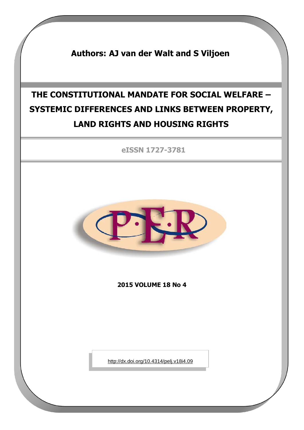**Authors: AJ van der Walt and S Viljoen**

# **THE CONSTITUTIONAL MANDATE FOR SOCIAL WELFARE – SYSTEMIC DIFFERENCES AND LINKS BETWEEN PROPERTY, LAND RIGHTS AND HOUSING RIGHTS**

**eISSN 1727-3781** 



**2015 VOLUME 18 No 4**

<http://dx.doi.org/10.4314/pelj.v18i4.09>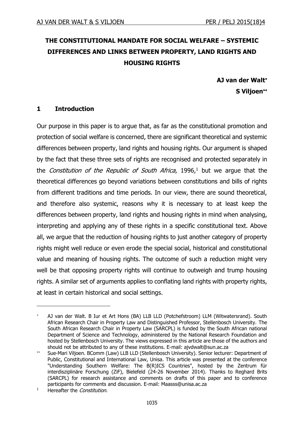## **THE CONSTITUTIONAL MANDATE FOR SOCIAL WELFARE – SYSTEMIC DIFFERENCES AND LINKS BETWEEN PROPERTY, LAND RIGHTS AND HOUSING RIGHTS**

**AJ van der Walt S Viljoen**

## **1 Introduction**

Our purpose in this paper is to argue that, as far as the constitutional promotion and protection of social welfare is concerned, there are significant theoretical and systemic differences between property, land rights and housing rights. Our argument is shaped by the fact that these three sets of rights are recognised and protected separately in the Constitution of the Republic of South Africa, 1996, $<sup>1</sup>$  but we argue that the</sup> theoretical differences go beyond variations between constitutions and bills of rights from different traditions and time periods. In our view, there are sound theoretical, and therefore also systemic, reasons why it is necessary to at least keep the differences between property, land rights and housing rights in mind when analysing, interpreting and applying any of these rights in a specific constitutional text. Above all, we argue that the reduction of housing rights to just another category of property rights might well reduce or even erode the special social, historical and constitutional value and meaning of housing rights. The outcome of such a reduction might very well be that opposing property rights will continue to outweigh and trump housing rights. A similar set of arguments applies to conflating land rights with property rights, at least in certain historical and social settings.

<sup>1</sup> Hereafter the *Constitution*.

AJ van der Walt. B Iur et Art Hons (BA) LLB LLD (Potchefstroom) LLM (Witwatersrand). South African Research Chair in Property Law and Distinguished Professor, Stellenbosch University. The South African Research Chair in Property Law (SARCPL) is funded by the South African national Department of Science and Technology, administered by the National Research Foundation and hosted by Stellenbosch University. The views expressed in this article are those of the authors and should not be attributed to any of these institutions. E-mail: ajvdwalt@sun.ac.za

Sue-Mari Viljoen. BComm (Law) LLB LLD (Stellenbosch University). Senior lecturer: Department of Public, Constitutional and International Law, Unisa. This article was presented at the conference "Understanding Southern Welfare: The B(R)ICS Countries", hosted by the Zentrum für interdisziplinäre Forschung (ZiF), Bielefeld (24-26 November 2014). Thanks to Reghard Brits (SARCPL) for research assistance and comments on drafts of this paper and to conference participants for comments and discussion. E-mail: Maasss@unisa.ac.za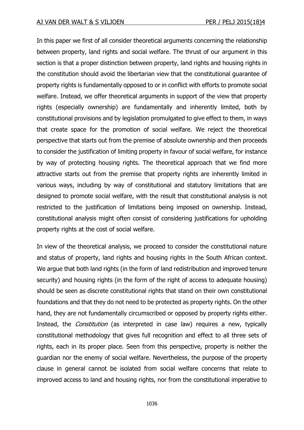In this paper we first of all consider theoretical arguments concerning the relationship between property, land rights and social welfare. The thrust of our argument in this section is that a proper distinction between property, land rights and housing rights in the constitution should avoid the libertarian view that the constitutional guarantee of property rights is fundamentally opposed to or in conflict with efforts to promote social welfare. Instead, we offer theoretical arguments in support of the view that property rights (especially ownership) are fundamentally and inherently limited, both by constitutional provisions and by legislation promulgated to give effect to them, in ways that create space for the promotion of social welfare. We reject the theoretical perspective that starts out from the premise of absolute ownership and then proceeds to consider the justification of limiting property in favour of social welfare, for instance by way of protecting housing rights. The theoretical approach that we find more attractive starts out from the premise that property rights are inherently limited in various ways, including by way of constitutional and statutory limitations that are designed to promote social welfare, with the result that constitutional analysis is not restricted to the justification of limitations being imposed on ownership. Instead, constitutional analysis might often consist of considering justifications for upholding property rights at the cost of social welfare.

In view of the theoretical analysis, we proceed to consider the constitutional nature and status of property, land rights and housing rights in the South African context. We argue that both land rights (in the form of land redistribution and improved tenure security) and housing rights (in the form of the right of access to adequate housing) should be seen as discrete constitutional rights that stand on their own constitutional foundations and that they do not need to be protected as property rights. On the other hand, they are not fundamentally circumscribed or opposed by property rights either. Instead, the *Constitution* (as interpreted in case law) requires a new, typically constitutional methodology that gives full recognition and effect to all three sets of rights, each in its proper place. Seen from this perspective, property is neither the guardian nor the enemy of social welfare. Nevertheless, the purpose of the property clause in general cannot be isolated from social welfare concerns that relate to improved access to land and housing rights, nor from the constitutional imperative to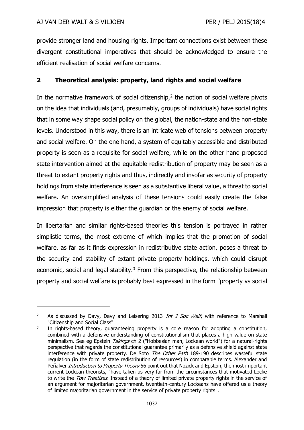provide stronger land and housing rights. Important connections exist between these divergent constitutional imperatives that should be acknowledged to ensure the efficient realisation of social welfare concerns.

## **2 Theoretical analysis: property, land rights and social welfare**

In the normative framework of social citizenship, $<sup>2</sup>$  the notion of social welfare pivots</sup> on the idea that individuals (and, presumably, groups of individuals) have social rights that in some way shape social policy on the global, the nation-state and the non-state levels. Understood in this way, there is an intricate web of tensions between property and social welfare. On the one hand, a system of equitably accessible and distributed property is seen as a requisite for social welfare, while on the other hand proposed state intervention aimed at the equitable redistribution of property may be seen as a threat to extant property rights and thus, indirectly and insofar as security of property holdings from state interference is seen as a substantive liberal value, a threat to social welfare. An oversimplified analysis of these tensions could easily create the false impression that property is either the guardian or the enemy of social welfare.

In libertarian and similar rights-based theories this tension is portrayed in rather simplistic terms, the most extreme of which implies that the promotion of social welfare, as far as it finds expression in redistributive state action, poses a threat to the security and stability of extant private property holdings, which could disrupt economic, social and legal stability. $3$  From this perspective, the relationship between property and social welfare is probably best expressed in the form "property vs social

<sup>&</sup>lt;sup>2</sup> As discussed by Davy, Davy and Leisering 2013 *Int J Soc Welf*, with reference to Marshall "Citizenship and Social Class".

<sup>3</sup> In rights-based theory, guaranteeing property is a core reason for adopting a constitution, combined with a defensive understanding of constitutionalism that places a high value on state minimalism. See eg Epstein Takings ch 2 ("Hobbesian man, Lockean world") for a natural-rights perspective that regards the constitutional guarantee primarily as a defensive shield against state interference with private property. De Soto The Other Path 189-190 describes wasteful state regulation (in the form of state redistribution of resources) in comparable terms. Alexander and Peñalver Introduction to Property Theory 56 point out that Nozick and Epstein, the most important current Lockean theorists, "have taken us very far from the circumstances that motivated Locke to write the Tow Treatises. Instead of a theory of limited private property rights in the service of an argument for majoritarian government, twentieth-century Lockeans have offered us a theory of limited majoritarian government in the service of private property rights".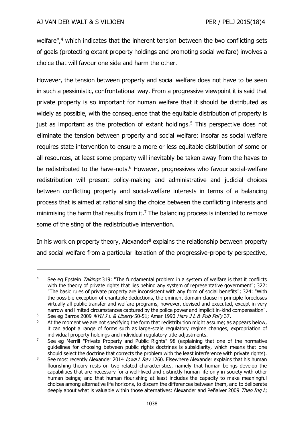welfare",<sup>4</sup> which indicates that the inherent tension between the two conflicting sets of goals (protecting extant property holdings and promoting social welfare) involves a choice that will favour one side and harm the other.

However, the tension between property and social welfare does not have to be seen in such a pessimistic, confrontational way. From a progressive viewpoint it is said that private property is so important for human welfare that it should be distributed as widely as possible, with the consequence that the equitable distribution of property is just as important as the protection of extant holdings.<sup>5</sup> This perspective does not eliminate the tension between property and social welfare: insofar as social welfare requires state intervention to ensure a more or less equitable distribution of some or all resources, at least some property will inevitably be taken away from the haves to be redistributed to the have-nots.<sup>6</sup> However, progressives who favour social-welfare redistribution will present policy-making and administrative and judicial choices between conflicting property and social-welfare interests in terms of a balancing process that is aimed at rationalising the choice between the conflicting interests and minimising the harm that results from it.<sup>7</sup> The balancing process is intended to remove some of the sting of the redistributive intervention.

In his work on property theory, Alexander<sup>8</sup> explains the relationship between property and social welfare from a particular iteration of the progressive-property perspective,

<sup>&</sup>lt;sup>4</sup> See eg Epstein *Takings* 319: "The fundamental problem in a system of welfare is that it conflicts with the theory of private rights that lies behind any system of representative government"; 322: "The basic rules of private property are inconsistent with any form of social benefits"; 324: "With the possible exception of charitable deductions, the eminent domain clause in principle forecloses virtually all public transfer and welfare programs, however, devised and executed, except in very narrow and limited circumstances captured by the police power and implicit in-kind compensation".

<sup>5</sup> See eg Barros 2009 *NYU J L & Liberty* 50-51; Amar 1990 *Harv J L & Pub Pol'y* 37.

At the moment we are not specifying the form that redistribution might assume; as appears below, it can adopt a range of forms such as large-scale regulatory regime changes, expropriation of individual property holdings and individual regulatory title adjustments.

<sup>&</sup>lt;sup>7</sup> See eg Merrill "Private Property and Public Rights" 98 (explaining that one of the normative guidelines for choosing between public rights doctrines is subsidiarity, which means that one should select the doctrine that corrects the problem with the least interference with private rights).

See most recently Alexander 2014 *Iowa L Rev* 1260. Elsewhere Alexander explains that his human flourishing theory rests on two related characteristics, namely that human beings develop the capabilities that are necessary for a well-lived and distinctly human life only in society with other human beings; and that human flourishing at least includes the capacity to make meaningful choices among alternative life horizons, to discern the differences between them, and to deliberate deeply about what is valuable within those alternatives: Alexander and Peñalver 2009 Theo Inq L;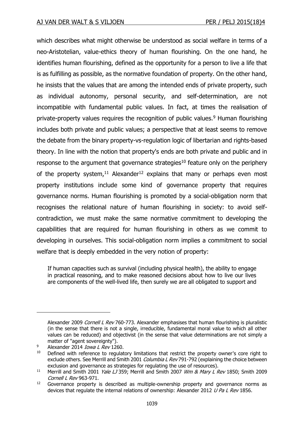which describes what might otherwise be understood as social welfare in terms of a neo-Aristotelian, value-ethics theory of human flourishing. On the one hand, he identifies human flourishing, defined as the opportunity for a person to live a life that is as fulfilling as possible, as the normative foundation of property. On the other hand, he insists that the values that are among the intended ends of private property, such as individual autonomy, personal security, and self-determination, are not incompatible with fundamental public values. In fact, at times the realisation of private-property values requires the recognition of public values.<sup>9</sup> Human flourishing includes both private and public values; a perspective that at least seems to remove the debate from the binary property-vs-regulation logic of libertarian and rights-based theory. In line with the notion that property's ends are both private and public and in response to the argument that governance strategies $10$  feature only on the periphery of the property system,<sup>11</sup> Alexander<sup>12</sup> explains that many or perhaps even most property institutions include some kind of governance property that requires governance norms. Human flourishing is promoted by a social-obligation norm that recognises the relational nature of human flourishing in society: to avoid selfcontradiction, we must make the same normative commitment to developing the capabilities that are required for human flourishing in others as we commit to developing in ourselves. This social-obligation norm implies a commitment to social welfare that is deeply embedded in the very notion of property:

If human capacities such as survival (including physical health), the ability to engage in practical reasoning, and to make reasoned decisions about how to live our lives are components of the well-lived life, then surely we are all obligated to support and

Alexander 2009 *Cornell L Rev* 760-773. Alexander emphasises that human flourishing is pluralistic (in the sense that there is not a single, irreducible, fundamental moral value to which all other values can be reduced) and objectivist (in the sense that value determinations are not simply a matter of "agent sovereignty").

<sup>&</sup>lt;sup>9</sup> Alexander 2014 *Iowa L Rev* 1260.

<sup>&</sup>lt;sup>10</sup> Defined with reference to regulatory limitations that restrict the property owner's core right to exclude others. See Merrill and Smith 2001 Columbia L Rev 791-792 (explaining the choice between exclusion and governance as strategies for regulating the use of resources).

<sup>&</sup>lt;sup>11</sup> Merrill and Smith 2001 *Yale LJ* 359; Merrill and Smith 2007 *Wm & Mary L Rev* 1850; Smith 2009 Cornell L Rev 963-971.

 $12$  Governance property is described as multiple-ownership property and governance norms as devices that regulate the internal relations of ownership: Alexander 2012  $U$  Pa L Rev 1856.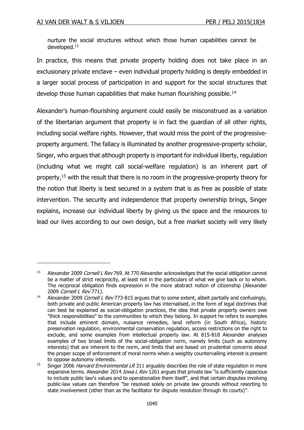nurture the social structures without which those human capabilities cannot be developed.<sup>13</sup>

In practice, this means that private property holding does not take place in an exclusionary private enclave – even individual property holding is deeply embedded in a larger social process of participation in and support for the social structures that develop those human capabilities that make human flourishing possible.<sup>14</sup>

Alexander's human-flourishing argument could easily be misconstrued as a variation of the libertarian argument that property is in fact the guardian of all other rights, including social welfare rights. However, that would miss the point of the progressiveproperty argument. The fallacy is illuminated by another progressive-property scholar, Singer, who argues that although property is important for individual liberty, regulation (including what we might call social-welfare regulation) is an inherent part of property,<sup>15</sup> with the result that there is no room in the progressive-property theory for the notion that liberty is best secured in a system that is as free as possible of state intervention. The security and independence that property ownership brings, Singer explains, increase our individual liberty by giving us the space and the resources to lead our lives according to our own design, but a free market society will very likely

<sup>&</sup>lt;sup>13</sup> Alexander 2009 *Cornell L Rev* 769. At 770 Alexander acknowledges that the social obligation cannot be a matter of strict reciprocity, at least not in the particulars of what we give back or to whom. The reciprocal obligation finds expression in the more abstract notion of citizenship (Alexander 2009 Cornell L Rev 771).

<sup>14</sup> Alexander 2009 Cornell L Rev 773-815 argues that to some extent, albeit partially and confusingly, both private and public American property law has internalised, in the form of legal doctrines that can best be explained as social-obligation practices, the idea that private property owners owe "thick responsibilities" to the communities to which they belong. In support he refers to examples that include eminent domain, nuisance remedies, land reform (in South Africa), historic preservation regulation, environmental conservation regulation, access restrictions on the right to exclude, and some examples from intellectual property law. At 815-818 Alexander analyses examples of two broad limits of the social-obligation norm, namely limits (such as autonomy interests) that are inherent to the norm, and limits that are based on prudential concerns about the proper scope of enforcement of moral norms when a weighty countervailing interest is present to oppose autonomy interests.

<sup>&</sup>lt;sup>15</sup> Singer 2006 Harvard Environmental LR 311 arguably describes the role of state regulation in more expansive terms. Alexander 2014 *Iowa L Rev* 1261 argues that private law "is sufficiently capacious to include public law's values and to operationalize them itself", and that certain disputes involving public-law values can therefore "be resolved solely on private law grounds without resorting to state involvement (other than as the facilitator for dispute resolution through its courts)".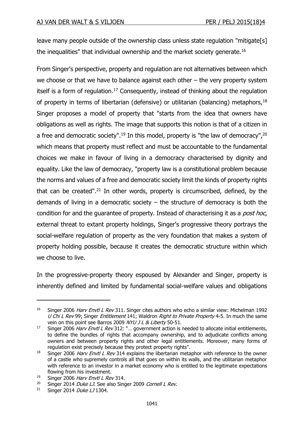leave many people outside of the ownership class unless state regulation "mitigate[s] the inequalities" that individual ownership and the market society generate.<sup>16</sup>

From Singer's perspective, property and regulation are not alternatives between which we choose or that we have to balance against each other – the very property system itself is a form of regulation.<sup>17</sup> Consequently, instead of thinking about the regulation of property in terms of libertarian (defensive) or utilitarian (balancing) metaphors,  $18$ Singer proposes a model of property that "starts from the idea that owners have obligations as well as rights. The image that supports this notion is that of a citizen in a free and democratic society".<sup>19</sup> In this model, property is "the law of democracy",<sup>20</sup> which means that property must reflect and must be accountable to the fundamental choices we make in favour of living in a democracy characterised by dignity and equality. Like the law of democracy, "property law is a constitutional problem because the norms and values of a free and democratic society limit the kinds of property rights that can be created". <sup>21</sup> In other words, property is circumscribed, defined, by the demands of living in a democratic society  $-$  the structure of democracy is both the condition for and the guarantee of property. Instead of characterising it as a *post hoc*, external threat to extant property holdings, Singer's progressive theory portrays the social-welfare regulation of property as the very foundation that makes a system of property holding possible, because it creates the democratic structure within which we choose to live.

In the progressive-property theory espoused by Alexander and Singer, property is inherently defined and limited by fundamental social-welfare values and obligations

<sup>&</sup>lt;sup>16</sup> Singer 2006 Harv Envtl L Rev 311. Singer cites authors who echo a similar view: Michelman 1992 U Chi L Rev 99; Singer Entitlement 141; Waldron Right to Private Property 4-5. In much the same vein on this point see Barros 2009 NYU J L & Liberty 50-51.

<sup>&</sup>lt;sup>17</sup> Singer 2006 *Harv Envtl L Rev* 312: "... government action is needed to allocate initial entitlements, to define the bundles of rights that accompany ownership, and to adjudicate conflicts among owners and between property rights and other legal entitlements. Moreover, many forms of regulation exist precisely because they protect property rights".

<sup>&</sup>lt;sup>18</sup> Singer 2006 Harv Envtl L Rev 314 explains the libertarian metaphor with reference to the owner of a castle who supremely controls all that goes on within its walls, and the utilitarian metaphor with reference to an investor in a market economy who is entitled to the legitimate expectations flowing from his investment.

<sup>&</sup>lt;sup>19</sup> Singer 2006 Harv Envtl L Rev 314.<br><sup>20</sup> Singer 2014 *Duke L1* See also Sing

Singer 2014 Duke LJ. See also Singer 2009 Cornell L Rev.

 $21$  Singer 2014 Duke LJ 1304.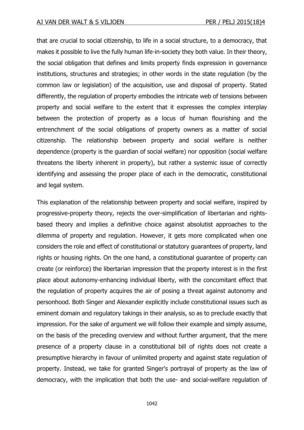that are crucial to social citizenship, to life in a social structure, to a democracy, that makes it possible to live the fully human life-in-society they both value. In their theory, the social obligation that defines and limits property finds expression in governance institutions, structures and strategies; in other words in the state regulation (by the common law or legislation) of the acquisition, use and disposal of property. Stated differently, the regulation of property embodies the intricate web of tensions between property and social welfare to the extent that it expresses the complex interplay between the protection of property as a locus of human flourishing and the entrenchment of the social obligations of property owners as a matter of social citizenship. The relationship between property and social welfare is neither dependence (property is the guardian of social welfare) nor opposition (social welfare threatens the liberty inherent in property), but rather a systemic issue of correctly identifying and assessing the proper place of each in the democratic, constitutional and legal system.

This explanation of the relationship between property and social welfare, inspired by progressive-property theory, rejects the over-simplification of libertarian and rightsbased theory and implies a definitive choice against absolutist approaches to the dilemma of property and regulation. However, it gets more complicated when one considers the role and effect of constitutional or statutory guarantees of property, land rights or housing rights. On the one hand, a constitutional guarantee of property can create (or reinforce) the libertarian impression that the property interest is in the first place about autonomy-enhancing individual liberty, with the concomitant effect that the regulation of property acquires the air of posing a threat against autonomy and personhood. Both Singer and Alexander explicitly include constitutional issues such as eminent domain and regulatory takings in their analysis, so as to preclude exactly that impression. For the sake of argument we will follow their example and simply assume, on the basis of the preceding overview and without further argument, that the mere presence of a property clause in a constitutional bill of rights does not create a presumptive hierarchy in favour of unlimited property and against state regulation of property. Instead, we take for granted Singer's portrayal of property as the law of democracy, with the implication that both the use- and social-welfare regulation of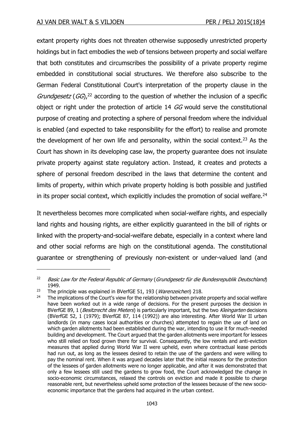extant property rights does not threaten otherwise supposedly unrestricted property holdings but in fact embodies the web of tensions between property and social welfare that both constitutes and circumscribes the possibility of a private property regime embedded in constitutional social structures. We therefore also subscribe to the German Federal Constitutional Court's interpretation of the property clause in the Grundgesetz (GG),<sup>22</sup> according to the question of whether the inclusion of a specific object or right under the protection of article 14 GG would serve the constitutional purpose of creating and protecting a sphere of personal freedom where the individual is enabled (and expected to take responsibility for the effort) to realise and promote the development of her own life and personality, within the social context.<sup>23</sup> As the Court has shown in its developing case law, the property guarantee does not insulate private property against state regulatory action. Instead, it creates and protects a sphere of personal freedom described in the laws that determine the content and limits of property, within which private property holding is both possible and justified in its proper social context, which explicitly includes the promotion of social welfare.<sup>24</sup>

It nevertheless becomes more complicated when social-welfare rights, and especially land rights and housing rights, are either explicitly guaranteed in the bill of rights or linked with the property-and-social-welfare debate, especially in a context where land and other social reforms are high on the constitutional agenda. The constitutional guarantee or strengthening of previously non-existent or under-valued land (and

<sup>&</sup>lt;sup>22</sup> Basic Law for the Federal Republic of Germany (Grundgesetz für die Bundesrepublik Deutschland) 1949.

<sup>&</sup>lt;sup>23</sup> The principle was explained in BVerfGE 51, 193 (*Warenzeichen*) 218.

<sup>&</sup>lt;sup>24</sup> The implications of the Court's view for the relationship between private property and social welfare have been worked out in a wide range of decisions. For the present purposes the decision in BVerfGE 89, 1 (Besitzrecht des Mieters) is particularly important, but the two Kleingarten decisions (BVerfGE 52, 1 (1979); BVerfGE 87, 114 (1992)) are also interesting. After World War II urban landlords (in many cases local authorities or churches) attempted to regain the use of land on which garden allotments had been established during the war, intending to use it for much-needed building and development. The Court argued that the garden allotments were important for lessees who still relied on food grown there for survival. Consequently, the low rentals and anti-eviction measures that applied during World War II were upheld, even where contractual lease periods had run out, as long as the lessees desired to retain the use of the gardens and were willing to pay the nominal rent. When it was argued decades later that the initial reasons for the protection of the lessees of garden allotments were no longer applicable, and after it was demonstrated that only a few lessees still used the gardens to grow food, the Court acknowledged the change in socio-economic circumstances, relaxed the controls on eviction and made it possible to charge reasonable rent, but nevertheless upheld some protection of the lessees because of the new socioeconomic importance that the gardens had acquired in the urban context.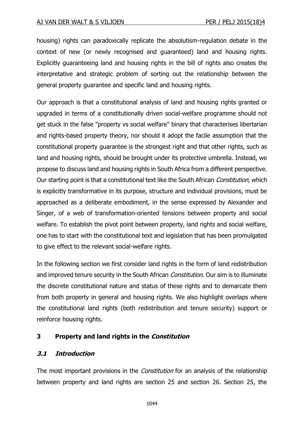housing) rights can paradoxically replicate the absolutism-regulation debate in the context of new (or newly recognised and guaranteed) land and housing rights. Explicitly guaranteeing land and housing rights in the bill of rights also creates the interpretative and strategic problem of sorting out the relationship between the general property guarantee and specific land and housing rights.

Our approach is that a constitutional analysis of land and housing rights granted or upgraded in terms of a constitutionally driven social-welfare programme should not get stuck in the false "property vs social welfare" binary that characterises libertarian and rights-based property theory, nor should it adopt the facile assumption that the constitutional property guarantee is the strongest right and that other rights, such as land and housing rights, should be brought under its protective umbrella. Instead, we propose to discuss land and housing rights in South Africa from a different perspective. Our starting point is that a constitutional text like the South African *Constitution*, which is explicitly transformative in its purpose, structure and individual provisions, must be approached as a deliberate embodiment, in the sense expressed by Alexander and Singer, of a web of transformation-oriented tensions between property and social welfare. To establish the pivot point between property, land rights and social welfare, one has to start with the constitutional text and legislation that has been promulgated to give effect to the relevant social-welfare rights.

In the following section we first consider land rights in the form of land redistribution and improved tenure security in the South African Constitution. Our aim is to illuminate the discrete constitutional nature and status of these rights and to demarcate them from both property in general and housing rights. We also highlight overlaps where the constitutional land rights (both redistribution and tenure security) support or reinforce housing rights.

### **3 Property and land rights in the Constitution**

### **3.1 Introduction**

The most important provisions in the *Constitution* for an analysis of the relationship between property and land rights are section 25 and section 26. Section 25, the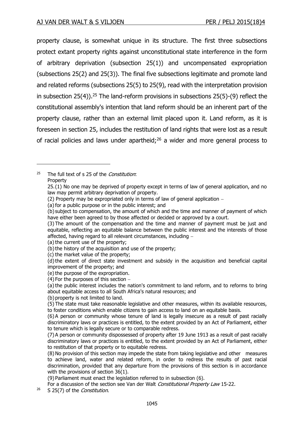property clause, is somewhat unique in its structure. The first three subsections protect extant property rights against unconstitutional state interference in the form of arbitrary deprivation (subsection 25(1)) and uncompensated expropriation (subsections 25(2) and 25(3)). The final five subsections legitimate and promote land and related reforms (subsections 25(5) to 25(9), read with the interpretation provision in subsection  $25(4)$ ).<sup>25</sup> The land-reform provisions in subsections  $25(5)$ -(9) reflect the constitutional assembly's intention that land reform should be an inherent part of the property clause, rather than an external limit placed upon it. Land reform, as it is foreseen in section 25, includes the restitution of land rights that were lost as a result of racial policies and laws under apartheid; $26$  a wider and more general process to

<sup>25</sup> The full text of s 25 of the *Constitution*: **Property** 

-

(a) the current use of the property;

- (c) the market value of the property;
- (d)the extent of direct state investment and subsidy in the acquisition and beneficial capital improvement of the property; and

 $(4)$  For the purposes of this section  $-$ 

(b) property is not limited to land.

(9) Parliament must enact the legislation referred to in subsection (6).

For a discussion of the section see Van der Walt Constitutional Property Law 15-22.

<sup>26</sup> S 25(7) of the *Constitution*.

<sup>25.(1)</sup> No one may be deprived of property except in terms of law of general application, and no law may permit arbitrary deprivation of property.

<sup>(2)</sup> Property may be expropriated only in terms of law of general application

<sup>(</sup>a) for a public purpose or in the public interest; and

<sup>(</sup>b) subject to compensation, the amount of which and the time and manner of payment of which have either been agreed to by those affected or decided or approved by a court.

<sup>(3)</sup> The amount of the compensation and the time and manner of payment must be just and equitable, reflecting an equitable balance between the public interest and the interests of those affected, having regard to all relevant circumstances, including

<sup>(</sup>b) the history of the acquisition and use of the property;

<sup>(</sup>e) the purpose of the expropriation.

<sup>(</sup>a)the public interest includes the nation's commitment to land reform, and to reforms to bring about equitable access to all South Africa's natural resources; and

<sup>(5)</sup> The state must take reasonable legislative and other measures, within its available resources, to foster conditions which enable citizens to gain access to land on an equitable basis.

<sup>(6)</sup> A person or community whose tenure of land is legally insecure as a result of past racially discriminatory laws or practices is entitled, to the extent provided by an Act of Parliament, either to tenure which is legally secure or to comparable redress.

<sup>(7)</sup> A person or community dispossessed of property after 19 June 1913 as a result of past racially discriminatory laws or practices is entitled, to the extent provided by an Act of Parliament, either to restitution of that property or to equitable redress.

<sup>(8)</sup> No provision of this section may impede the state from taking legislative and other measures to achieve land, water and related reform, in order to redress the results of past racial discrimination, provided that any departure from the provisions of this section is in accordance with the provisions of section 36(1).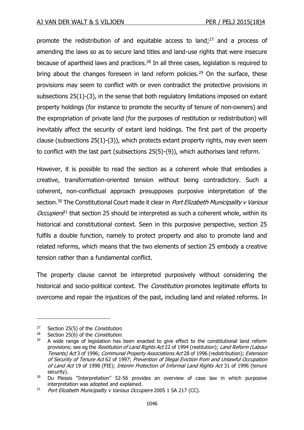promote the redistribution of and equitable access to land;<sup>27</sup> and a process of amending the laws so as to secure land titles and land-use rights that were insecure because of apartheid laws and practices.<sup>28</sup> In all three cases, legislation is required to bring about the changes foreseen in land reform policies.<sup>29</sup> On the surface, these provisions may seem to conflict with or even contradict the protective provisions in subsections 25(1)-(3), in the sense that both regulatory limitations imposed on extant property holdings (for instance to promote the security of tenure of non-owners) and the expropriation of private land (for the purposes of restitution or redistribution) will inevitably affect the security of extant land holdings. The first part of the property clause (subsections 25(1)-(3)), which protects extant property rights, may even seem to conflict with the last part (subsections 25(5)-(9)), which authorises land reform.

However, it is possible to read the section as a coherent whole that embodies a creative, transformation-oriented tension without being contradictory. Such a coherent, non-conflictual approach presupposes purposive interpretation of the section.<sup>30</sup> The Constitutional Court made it clear in *Port Elizabeth Municipality v Various* Occupiers<sup>31</sup> that section 25 should be interpreted as such a coherent whole, within its historical and constitutional context. Seen in this purposive perspective, section 25 fulfils a double function, namely to protect property and also to promote land and related reforms, which means that the two elements of section 25 embody a creative tension rather than a fundamental conflict.

The property clause cannot be interpreted purposively without considering the historical and socio-political context. The *Constitution* promotes legitimate efforts to overcome and repair the injustices of the past, including land and related reforms. In

<sup>&</sup>lt;sup>27</sup> Section 25(5) of the *Constitution*.

 $28$  Section 25(6) of the *Constitution*.

 $29$  A wide range of legislation has been enacted to give effect to the constitutional land reform provisions; see eg the Restitution of Land Rights Act 22 of 1994 (restitution); Land Reform (Labour Tenants) Act 3 of 1996; Communal Property Associations Act 28 of 1996 (redistribution); Extension of Security of Tenure Act 62 of 1997; Prevention of Illegal Eviction from and Unlawful Occupation of Land Act 19 of 1998 (PIE); Interim Protection of Informal Land Rights Act 31 of 1996 (tenure security).

 $30$  Du Plessis "Interpretation" 52-56 provides an overview of case law in which purposive interpretation was adopted and explained.

<sup>&</sup>lt;sup>31</sup> Port Elizabeth Municipality v Various Occupiers 2005 1 SA 217 (CC).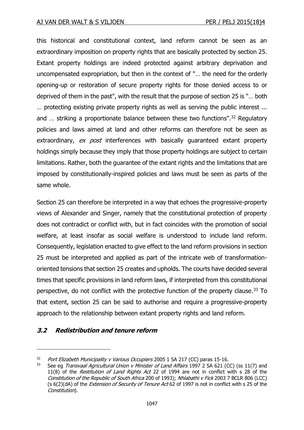this historical and constitutional context, land reform cannot be seen as an extraordinary imposition on property rights that are basically protected by section 25. Extant property holdings are indeed protected against arbitrary deprivation and uncompensated expropriation, but then in the context of "… the need for the orderly opening-up or restoration of secure property rights for those denied access to or deprived of them in the past", with the result that the purpose of section 25 is "… both … protecting existing private property rights as well as serving the public interest ... and ... striking a proportionate balance between these two functions".<sup>32</sup> Regulatory policies and laws aimed at land and other reforms can therefore not be seen as extraordinary, ex post interferences with basically guaranteed extant property holdings simply because they imply that those property holdings are subject to certain limitations. Rather, both the guarantee of the extant rights and the limitations that are imposed by constitutionally-inspired policies and laws must be seen as parts of the same whole.

Section 25 can therefore be interpreted in a way that echoes the progressive-property views of Alexander and Singer, namely that the constitutional protection of property does not contradict or conflict with, but in fact coincides with the promotion of social welfare, at least insofar as social welfare is understood to include land reform. Consequently, legislation enacted to give effect to the land reform provisions in section 25 must be interpreted and applied as part of the intricate web of transformationoriented tensions that section 25 creates and upholds. The courts have decided several times that specific provisions in land reform laws, if interpreted from this constitutional perspective, do not conflict with the protective function of the property clause.<sup>33</sup> To that extent, section 25 can be said to authorise and require a progressive-property approach to the relationship between extant property rights and land reform.

## **3.2 Redistribution and tenure reform**

<sup>&</sup>lt;sup>32</sup> Port Elizabeth Municipality v Various Occupiers 2005 1 SA 217 (CC) paras 15-16.<br><sup>33</sup> See as Transvaal Agricultural Union v Minister of Land Affairs 1997 3 SA 621 (C

See eg Transvaal Agricultural Union v Minister of Land Affairs 1997 2 SA 621 (CC) (ss 11(7) and 11(8) of the Restitution of Land Rights Act 22 of 1994 are not in conflict with s 28 of the Constitution of the Republic of South Africa 200 of 1993); Nhlabathi v Fick 2003 7 BCLR 806 (LCC) (s 6(2)(dA) of the *Extension of Security of Tenure Act* 62 of 1997 is not in conflict with s 25 of the Constitution).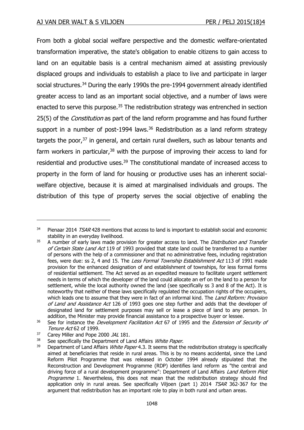From both a global social welfare perspective and the domestic welfare-orientated transformation imperative, the state's obligation to enable citizens to gain access to land on an equitable basis is a central mechanism aimed at assisting previously displaced groups and individuals to establish a place to live and participate in larger social structures.<sup>34</sup> During the early 1990s the pre-1994 government already identified greater access to land as an important social objective, and a number of laws were enacted to serve this purpose.<sup>35</sup> The redistribution strategy was entrenched in section 25(5) of the *Constitution* as part of the land reform programme and has found further support in a number of post-1994 laws. $36$  Redistribution as a land reform strategy targets the poor, $37$  in general, and certain rural dwellers, such as labour tenants and farm workers in particular,  $38$  with the purpose of improving their access to land for residential and productive uses.<sup>39</sup> The constitutional mandate of increased access to property in the form of land for housing or productive uses has an inherent socialwelfare objective, because it is aimed at marginalised individuals and groups. The distribution of this type of property serves the social objective of enabling the

<sup>&</sup>lt;sup>34</sup> Pienaar 2014 TSAR 428 mentions that access to land is important to establish social and economic stability in an everyday livelihood.

 $35$  A number of early laws made provision for greater access to land. The *Distribution and Transfer* of Certain State Land Act 119 of 1993 provided that state land could be transferred to a number of persons with the help of a commissioner and that no administrative fees, including registration fees, were due: ss 2, 4 and 15. The Less Formal Township Establishment Act 113 of 1991 made provision for the enhanced designation of and establishment of townships, for less formal forms of residential settlement. The Act served as an expedited measure to facilitate urgent settlement needs in terms of which the developer of the land could allocate an erf on the land to a person for settlement, while the local authority owned the land (see specifically ss 3 and 8 of the Act). It is noteworthy that neither of these laws specifically regulated the occupation rights of the occupiers, which leads one to assume that they were in fact of an informal kind. The Land Reform: Provision of Land and Assistance Act 126 of 1993 goes one step further and adds that the developer of designated land for settlement purposes may sell or lease a piece of land to any person. In addition, the Minister may provide financial assistance to a prospective buyer or lessee.

 $36$  See for instance the *Development Facilitation Act* 67 of 1995 and the *Extension of Security of* Tenure Act 62 of 1999.

<sup>&</sup>lt;sup>37</sup> Carey Miller and Pope 2000 JAL 181.

<sup>&</sup>lt;sup>38</sup> See specifically the Department of Land Affairs *White Paper*.

Department of Land Affairs White Paper 4.3. It seems that the redistribution strategy is specifically aimed at beneficiaries that reside in rural areas. This is by no means accidental, since the Land Reform Pilot Programme that was released in October 1994 already stipulated that the Reconstruction and Development Programme (RDP) identifies land reform as "the central and driving force of a rural development programme": Department of Land Affairs Land Reform Pilot Programme 1. Nevertheless, this does not mean that the redistribution strategy should find application only in rural areas. See specifically Viljoen (part 1) 2014  $TSAR$  362-367 for the argument that redistribution has an important role to play in both rural and urban areas.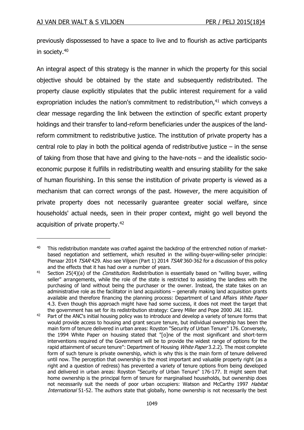previously dispossessed to have a space to live and to flourish as active participants in society.<sup>40</sup>

An integral aspect of this strategy is the manner in which the property for this social objective should be obtained by the state and subsequently redistributed. The property clause explicitly stipulates that the public interest requirement for a valid expropriation includes the nation's commitment to redistribution, $41$  which conveys a clear message regarding the link between the extinction of specific extant property holdings and their transfer to land-reform beneficiaries under the auspices of the landreform commitment to redistributive justice. The institution of private property has a central role to play in both the political agenda of redistributive justice  $-$  in the sense of taking from those that have and giving to the have-nots – and the idealistic socioeconomic purpose it fulfills in redistributing wealth and ensuring stability for the sake of human flourishing. In this sense the institution of private property is viewed as a mechanism that can correct wrongs of the past. However, the mere acquisition of private property does not necessarily guarantee greater social welfare, since households' actual needs, seen in their proper context, might go well beyond the acquisition of private property.<sup>42</sup>

<sup>&</sup>lt;sup>40</sup> This redistribution mandate was crafted against the backdrop of the entrenched notion of marketbased negotiation and settlement, which resulted in the willing-buyer-willing-seller principle: Pienaar 2014 TSAR 429. Also see Viljoen (Part 1) 2014 TSAR 360-362 for a discussion of this policy and the effects that it has had over a number of years.

<sup>&</sup>lt;sup>41</sup> Section 25(4)(a) of the *Constitution*. Redistribution is essentially based on "willing buyer, willing seller" arrangements, while the role of the state is restricted to assisting the landless with the purchasing of land without being the purchaser or the owner. Instead, the state takes on an administrative role as the facilitator in land acquisitions – generally making land acquisition grants available and therefore financing the planning process: Department of Land Affairs White Paper 4.3. Even though this approach might have had some success, it does not meet the target that the government has set for its redistribution strategy: Carey Miller and Pope 2000 JAL 182.

 $^{42}$  Part of the ANC's initial housing policy was to introduce and develop a variety of tenure forms that would provide access to housing and grant secure tenure, but individual ownership has been the main form of tenure delivered in urban areas: Royston "Security of Urban Tenure" 176. Conversely, the 1994 White Paper on housing stated that "[o]ne of the most significant and short-term interventions required of the Government will be to provide the widest range of options for the rapid attainment of secure tenure": Department of Housing White Paper 3.2.2). The most complete form of such tenure is private ownership, which is why this is the main form of tenure delivered until now. The perception that ownership is the most important and valuable property right (as a right and a question of redress) has prevented a variety of tenure options from being developed and delivered in urban areas: Royston "Security of Urban Tenure" 176-177. It might seem that home ownership is the principal form of tenure for marginalised households, but ownership does not necessarily suit the needs of poor urban occupiers: Watson and McCarthy 1997 *Habitat* International 51-52. The authors state that globally, home ownership is not necessarily the best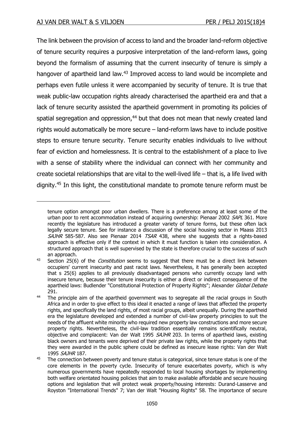The link between the provision of access to land and the broader land-reform objective of tenure security requires a purposive interpretation of the land-reform laws, going beyond the formalism of assuming that the current insecurity of tenure is simply a hangover of apartheid land law.<sup>43</sup> Improved access to land would be incomplete and perhaps even futile unless it were accompanied by security of tenure. It is true that weak public-law occupation rights already characterised the apartheid era and that a lack of tenure security assisted the apartheid government in promoting its policies of spatial segregation and oppression, $44$  but that does not mean that newly created land rights would automatically be more secure – land-reform laws have to include positive steps to ensure tenure security. Tenure security enables individuals to live without fear of eviction and homelessness. It is central to the establishment of a place to live with a sense of stability where the individual can connect with her community and create societal relationships that are vital to the well-lived life – that is, a life lived with dignity.<sup>45</sup> In this light, the constitutional mandate to promote tenure reform must be

tenure option amongst poor urban dwellers. There is a preference among at least some of the urban poor to rent accommodation instead of acquiring ownership: Pienaar 2002 SAPL 361. More recently the legislature has introduced a greater variety of tenure forms, but these often lack legally secure tenure. See for instance a discussion of the social housing sector in Maass 2013 SAJHR 585-587. Also see Pienaar 2014 TSAR 438, where she suggests that a rights-based approach is effective only if the context in which it must function is taken into consideration. A structured approach that is well supervised by the state is therefore crucial to the success of such an approach.

 $43$  Section 25(6) of the *Constitution* seems to suggest that there must be a direct link between occupiers' current insecurity and past racist laws. Nevertheless, it has generally been accepted that s 25(6) applies to all previously disadvantaged persons who currently occupy land with insecure tenure, because their tenure insecurity is either a direct or indirect consequence of the apartheid laws: Budlender "Constitutional Protection of Property Rights"; Alexander Global Debate 291.

<sup>&</sup>lt;sup>44</sup> The principle aim of the apartheid government was to segregate all the racial groups in South Africa and in order to give effect to this ideal it enacted a range of laws that affected the property rights, and specifically the land rights, of most racial groups, albeit unequally. During the apartheid era the legislature developed and extended a number of civil-law property principles to suit the needs of the affluent white minority who required new property law constructions and more secure property rights. Nevertheless, the civil-law tradition essentially remains scientifically neutral, objective and complacent: Van der Walt 1995 SAJHR 203. In terms of apartheid laws, existing black owners and tenants were deprived of their private law rights, while the property rights that they were awarded in the public sphere could be defined as insecure lease rights: Van der Walt 1995 SAJHR 187.

<sup>&</sup>lt;sup>45</sup> The connection between poverty and tenure status is categorical, since tenure status is one of the core elements in the poverty cycle. Insecurity of tenure exacerbates poverty, which is why numerous governments have repeatedly responded to local housing shortages by implementing both welfare orientated housing policies that aim to make available affordable and secure housing options and legislation that will protect weak property/housing interests: Durand-Lasserve and Royston "International Trends" 7; Van der Walt "Housing Rights" 58. The importance of secure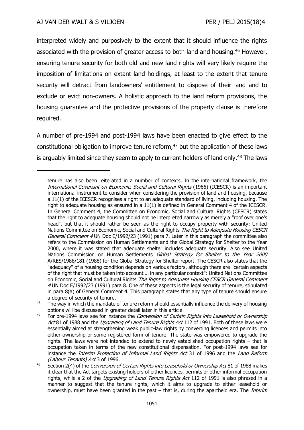interpreted widely and purposively to the extent that it should influence the rights associated with the provision of greater access to both land and housing.<sup>46</sup> However, ensuring tenure security for both old and new land rights will very likely require the imposition of limitations on extant land holdings, at least to the extent that tenure security will detract from landowners' entitlement to dispose of their land and to exclude or evict non-owners. A holistic approach to the land reform provisions, the housing guarantee and the protective provisions of the property clause is therefore required.

A number of pre-1994 and post-1994 laws have been enacted to give effect to the constitutional obligation to improve tenure reform, $47$  but the application of these laws is arguably limited since they seem to apply to current holders of land only.<sup>48</sup> The laws

tenure has also been reiterated in a number of contexts. In the international framework, the International Covenant on Economic, Social and Cultural Rights (1966) (ICESCR) is an important international instrument to consider when considering the provision of land and housing, because a 11(1) of the ICESCR recognises a right to an adequate standard of living, including housing. The right to adequate housing as ensured in a 11(1) is defined in General Comment 4 of the ICESCR. In General Comment 4, the Committee on Economic, Social and Cultural Rights (CESCR) states that the right to adequate housing should not be interpreted narrowly as merely a "roof over one's head", but that it should rather be seen as the right to occupy property with security: United Nations Committee on Economic, Social and Cultural Rights The Right to Adequate Housing CESCR General Comment 4 UN Doc E/1992/23 (1991) para 7. Later in this paragraph the committee also refers to the Commission on Human Settlements and the Global Strategy for Shelter to the Year 2000, where it was stated that adequate shelter includes adequate security. Also see United Nations Commission on Human Settlements Global Strategy for Shelter to the Year 2000 A/RES/1988/181 (1988) for the Global Strategy for Shelter report. The CESCR also states that the "adequacy" of a housing condition depends on various factors, although there are "certain aspects of the right that must be taken into account … in any particular context": United Nations Committee on Economic, Social and Cultural Rights The Right to Adequate Housing CESCR General Comment 4 UN Doc E/1992/23 (1991) para 8. One of these aspects is the legal security of tenure, stipulated in para 8(a) of General Comment 4. This paragraph states that any type of tenure should ensure a degree of security of tenure.

<sup>&</sup>lt;sup>46</sup> The way in which the mandate of tenure reform should essentially influence the delivery of housing options will be discussed in greater detail later in this article.

 $47$  For pre-1994 laws see for instance the *Conversion of Certain Rights into Leasehold or Ownership* Act 81 of 1988 and the *Upgrading of Land Tenure Rights Act* 112 of 1991. Both of these laws were essentially aimed at strengthening weak public-law rights by converting licences and permits into either ownership or some registered form of tenure. The state was empowered to upgrade the rights. The laws were not intended to extend to newly established occupation rights – that is occupation taken in terms of the new constitutional dispensation. For post-1994 laws see for instance the Interim Protection of Informal Land Rights Act 31 of 1996 and the Land Reform (Labour Tenants) Act 3 of 1996.

<sup>&</sup>lt;sup>48</sup> Section 2(4) of the *Conversion of Certain Rights into Leasehold or Ownership Act* 81 of 1988 makes it clear that the Act targets existing holders of either licences, permits or other informal occupation rights, while s 2 of the *Upgrading of Land Tenure Rights Act* 112 of 1991 is also phrased in a manner to suggest that the tenure rights, which it aims to upgrade to either leasehold or ownership, must have been granted in the past  $-$  that is, during the apartheid era. The *Interim*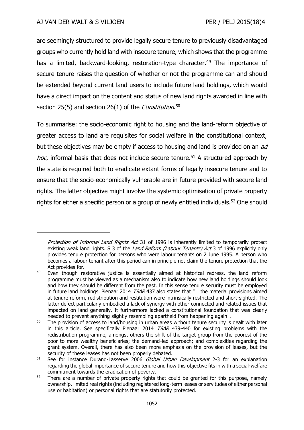are seemingly structured to provide legally secure tenure to previously disadvantaged groups who currently hold land with insecure tenure, which shows that the programme has a limited, backward-looking, restoration-type character.<sup>49</sup> The importance of secure tenure raises the question of whether or not the programme can and should be extended beyond current land users to include future land holdings, which would have a direct impact on the content and status of new land rights awarded in line with section 25(5) and section 26(1) of the Constitution.<sup>50</sup>

To summarise: the socio-economic right to housing and the land-reform objective of greater access to land are requisites for social welfare in the constitutional context, but these objectives may be empty if access to housing and land is provided on an ad *hoc*, informal basis that does not include secure tenure.<sup>51</sup> A structured approach by the state is required both to eradicate extant forms of legally insecure tenure and to ensure that the socio-economically vulnerable are in future provided with secure land rights. The latter objective might involve the systemic optimisation of private property rights for either a specific person or a group of newly entitled individuals.<sup>52</sup> One should

Protection of Informal Land Rights Act 31 of 1996 is inherently limited to temporarily protect existing weak land rights. S 3 of the Land Reform (Labour Tenants) Act 3 of 1996 explicitly only provides tenure protection for persons who were labour tenants on 2 June 1995. A person who becomes a labour tenant after this period can in principle not claim the tenure protection that the Act provides for.

 $49$  Even though restorative justice is essentially aimed at historical redress, the land reform programme must be viewed as a mechanism also to indicate how new land holdings should look and how they should be different from the past. In this sense tenure security must be employed in future land holdings. Pienaar 2014 TSAR 437 also states that "... the material provisions aimed at tenure reform, redistribution and restitution were intrinsically restricted and short-sighted. The latter defect particularly embodied a lack of synergy with other connected and related issues that impacted on land generally. It furthermore lacked a constitutional foundation that was clearly needed to prevent anything slightly resembling apartheid from happening again".

 $50$  The provision of access to land/housing in urban areas without tenure security is dealt with later in this article. See specifically Pienaar 2014 TSAR 439-440 for existing problems with the redistribution programme, amongst others the shift of the target group from the poorest of the poor to more wealthy beneficiaries; the demand-led approach; and complexities regarding the grant system. Overall, there has also been more emphasis on the provision of leases, but the security of these leases has not been properly debated.

 $51$  See for instance Durand-Lasserve 2006 *Global Urban Development* 2-3 for an explanation regarding the global importance of secure tenure and how this objective fits in with a social-welfare commitment towards the eradication of poverty.

 $52$  There are a number of private property rights that could be granted for this purpose, namely ownership, limited real rights (including registered long-term leases or servitudes of either personal use or habitation) or personal rights that are statutorily protected.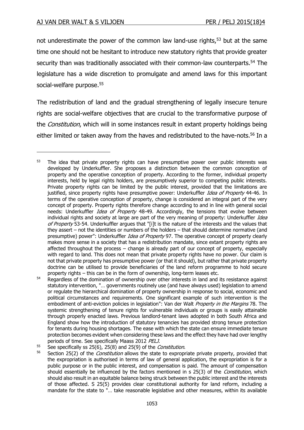not underestimate the power of the common law land-use rights,<sup>53</sup> but at the same time one should not be hesitant to introduce new statutory rights that provide greater security than was traditionally associated with their common-law counterparts.<sup>54</sup> The legislature has a wide discretion to promulgate and amend laws for this important social-welfare purpose.<sup>55</sup>

The redistribution of land and the gradual strengthening of legally insecure tenure rights are social-welfare objectives that are crucial to the transformative purpose of the *Constitution*, which will in some instances result in extant property holdings being either limited or taken away from the haves and redistributed to the have-nots.<sup>56</sup> In a

- $54$  Regardless of the domination of ownership over other interests in land and its resistance against statutory intervention, "… governments routinely use (and have always used) legislation to amend or regulate the hierarchical domination of property ownership in response to social, economic and political circumstances and requirements. One significant example of such intervention is the embodiment of anti-eviction policies in legislation": Van der Walt Property in the Margins 78. The systemic strengthening of tenure rights for vulnerable individuals or groups is easily attainable through properly enacted laws. Previous landlord-tenant laws adopted in both South Africa and England show how the introduction of statutory tenancies has provided strong tenure protection for tenants during housing shortages. The ease with which the state can ensure immediate tenure protection becomes evident when considering these laws and the effect they have had over lengthy periods of time. See specifically Maass 2012 PELJ.
- $55$  See specifically ss 25(6), 25(8) and 25(9) of the *Constitution*.
- 56 Section 25(2) of the *Constitution* allows the state to expropriate private property, provided that the expropriation is authorised in terms of law of general application, the expropriation is for a public purpose or in the public interest, and compensation is paid. The amount of compensation should essentially be influenced by the factors mentioned in s 25(3) of the *Constitution*, which should also result in an equitable balance being struck between the public interest and the interests of those affected. S 25(5) provides clear constitutional authority for land reform, including a mandate for the state to "… take reasonable legislative and other measures, within its available

<sup>53</sup> The idea that private property rights can have presumptive power over public interests was developed by Underkuffler. She proposes a distinction between the common conception of property and the operative conception of property. According to the former, individual property interests, held by legal rights holders, are presumptively superior to competing public interests. Private property rights can be limited by the public interest, provided that the limitations are justified, since property rights have presumptive power: Underkuffler *Idea of Property* 44-46. In terms of the operative conception of property, change is considered an integral part of the very concept of property. Property rights therefore change according to and in line with general social needs: Underkuffler *Idea of Property* 48-49. Accordingly, the tensions that evolve between individual rights and society at large are part of the very meaning of property: Underkuffler *Idea* of Property 53-54. Underkuffler argues that "[i]t is the nature of the interests and the values that they assert – not the identities or numbers of the holders – that should determine normative (and presumptive) power": Underkuffler *Idea of Property* 97. The operative concept of property clearly makes more sense in a society that has a redistribution mandate, since extant property rights are affected throughout the process – change is already part of our concept of property, especially with regard to land. This does not mean that private property rights have no power. Our claim is not that private property has presumptive power (or that it should), but rather that private property doctrine can be utilised to provide beneficiaries of the land reform programme to hold secure property rights – this can be in the form of ownership, long-term leases etc.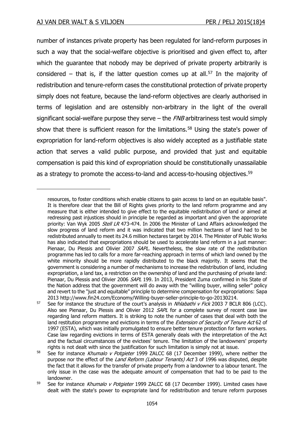number of instances private property has been regulated for land-reform purposes in such a way that the social-welfare objective is prioritised and given effect to, after which the guarantee that nobody may be deprived of private property arbitrarily is considered – that is, if the latter question comes up at all.<sup>57</sup> In the majority of redistribution and tenure-reform cases the constitutional protection of private property simply does not feature, because the land-reform objectives are clearly authorised in terms of legislation and are ostensibly non-arbitrary in the light of the overall significant social-welfare purpose they serve  $-$  the  $FNB$  arbitrariness test would simply show that there is sufficient reason for the limitations.<sup>58</sup> Using the state's power of expropriation for land-reform objectives is also widely accepted as a justifiable state action that serves a valid public purpose, and provided that just and equitable compensation is paid this kind of expropriation should be constitutionally unassailable as a strategy to promote the access-to-land and access-to-housing objectives.<sup>59</sup>

resources, to foster conditions which enable citizens to gain access to land on an equitable basis". It is therefore clear that the Bill of Rights gives priority to the land reform programme and any measure that is either intended to give effect to the equitable redistribution of land or aimed at redressing past injustices should in principle be regarded as important and given the appropriate priority: Van Wyk 2005 Stell LR 473-474. In 2006 the Minister of Land Affairs acknowledged the slow progress of land reform and it was indicated that two million hectares of land had to be redistributed annually to meet its 24.6 million hectares target by 2014. The Minister of Public Works has also indicated that expropriations should be used to accelerate land reform in a just manner: Pienaar, Du Plessis and Olivier 2007 SAPL. Nevertheless, the slow rate of the redistribution programme has led to calls for a more far-reaching approach in terms of which land owned by the white minority should be more rapidly distributed to the black majority. It seems that the government is considering a number of mechanisms to increase the redistribution of land, including expropriation, a land tax, a restriction on the ownership of land and the purchasing of private land: Pienaar, Du Plessis and Olivier 2006 SAPL 199. In 2013, President Zuma confirmed in his State of the Nation address that the government will do away with the "willing buyer, willing seller" policy and revert to the "just and equitable" principle to determine compensation for expropriations: Sapa 2013 http://www.fin24.com/Economy/Willing-buyer-seller-principle-to-go-20130214.

<sup>57</sup> See for instance the structure of the court's analysis in *Nhlabathi v Fick* 2003 7 BCLR 806 (LCC). Also see Pienaar, Du Plessis and Olivier 2012 SAPL for a complete survey of recent case law regarding land reform matters. It is striking to note the number of cases that deal with both the land restitution programme and evictions in terms of the *Extension of Security of Tenure Act* 62 of 1997 (ESTA), which was initially promulgated to ensure better tenure protection for farm workers. Case law regarding evictions in terms of ESTA generally deals with the interpretation of the Act and the factual circumstances of the evictees' tenure. The limitation of the landowners' property rights is not dealt with since the justification for such limitation is simply not at issue.

 $58$  See for instance Khumalo v Potgieter 1999 ZALCC 68 (17 December 1999), where neither the purpose nor the effect of the *Land Reform (Labour Tenants) Act* 3 of 1996 was disputed, despite the fact that it allows for the transfer of private property from a landowner to a labour tenant. The only issue in the case was the adequate amount of compensation that had to be paid to the landowner.

<sup>&</sup>lt;sup>59</sup> See for instance *Khumalo v Potgieter* 1999 ZALCC 68 (17 December 1999). Limited cases have dealt with the state's power to expropriate land for redistribution and tenure reform purposes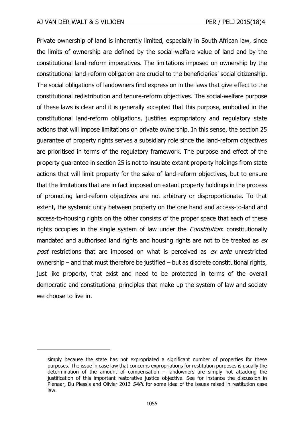Private ownership of land is inherently limited, especially in South African law, since the limits of ownership are defined by the social-welfare value of land and by the constitutional land-reform imperatives. The limitations imposed on ownership by the constitutional land-reform obligation are crucial to the beneficiaries' social citizenship. The social obligations of landowners find expression in the laws that give effect to the constitutional redistribution and tenure-reform objectives. The social-welfare purpose of these laws is clear and it is generally accepted that this purpose, embodied in the constitutional land-reform obligations, justifies expropriatory and regulatory state actions that will impose limitations on private ownership. In this sense, the section 25 guarantee of property rights serves a subsidiary role since the land-reform objectives are prioritised in terms of the regulatory framework. The purpose and effect of the property guarantee in section 25 is not to insulate extant property holdings from state actions that will limit property for the sake of land-reform objectives, but to ensure that the limitations that are in fact imposed on extant property holdings in the process of promoting land-reform objectives are not arbitrary or disproportionate. To that extent, the systemic unity between property on the one hand and access-to-land and access-to-housing rights on the other consists of the proper space that each of these rights occupies in the single system of law under the *Constitution*: constitutionally mandated and authorised land rights and housing rights are not to be treated as ex post restrictions that are imposed on what is perceived as ex ante unrestricted ownership – and that must therefore be justified – but as discrete constitutional rights, just like property, that exist and need to be protected in terms of the overall democratic and constitutional principles that make up the system of law and society we choose to live in.

simply because the state has not expropriated a significant number of properties for these purposes. The issue in case law that concerns expropriations for restitution purposes is usually the determination of the amount of compensation – landowners are simply not attacking the justification of this important restorative justice objective. See for instance the discussion in Pienaar, Du Plessis and Olivier 2012 SAPL for some idea of the issues raised in restitution case law.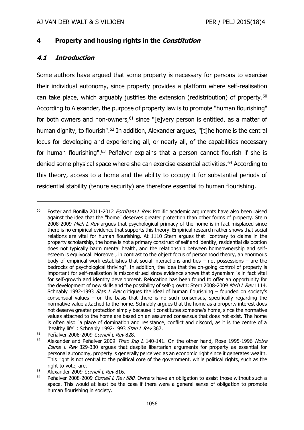## **4 Property and housing rights in the Constitution**

## **4.1 Introduction**

-

Some authors have argued that some property is necessary for persons to exercise their individual autonomy, since property provides a platform where self-realisation can take place, which arguably justifies the extension (redistribution) of property.<sup>60</sup> According to Alexander, the purpose of property law is to promote "human flourishing" for both owners and non-owners, $61$  since "[e]very person is entitled, as a matter of human dignity, to flourish".<sup>62</sup> In addition, Alexander argues, "[t]he home is the central locus for developing and experiencing all, or nearly all, of the capabilities necessary for human flourishing".<sup>63</sup> Peñalver explains that a person cannot flourish if she is denied some physical space where she can exercise essential activities.<sup>64</sup> According to this theory, access to a home and the ability to occupy it for substantial periods of residential stability (tenure security) are therefore essential to human flourishing.

 $61$  Peñalver 2008-2009 Cornell L Rev 828.

 $60$  Foster and Bonilla 2011-2012 *Fordham L Rev*. Prolific academic arguments have also been raised against the idea that the "home" deserves greater protection than other forms of property. Stern 2008-2009 Mich L Rev argues that psychological primacy of the home is in fact misplaced since there is no empirical evidence that supports this theory. Empirical research rather shows that social relations are vital for human flourishing. At 1110 Stern argues that "contrary to claims in the property scholarship, the home is not a primary construct of self and identity, residential dislocation does not typically harm mental health, and the relationship between homeownership and selfesteem is equivocal. Moreover, in contrast to the object focus of personhood theory, an enormous body of empirical work establishes that social interactions and ties – not possessions – are the bedrocks of psychological thriving". In addition, the idea that the on-going control of property is important for self-realisation is misconstrued since evidence shows that dynamism is in fact vital for self-growth and identity development. Relocation has been found to offer an opportunity for the development of new skills and the possibility of self-growth: Stern 2008-2009 Mich L Rev 1114. Schnably 1992-1993 *Stan L Rev* critiques the ideal of human flourishing – founded on society's consensual values – on the basis that there is no such consensus, specifically regarding the normative value attached to the home. Schnably argues that the home as a property interest does not deserve greater protection simply because it constitutes someone's home, since the normative values attached to the home are based on an assumed consensus that does not exist. The home is often also "a place of domination and resistance, conflict and discord, as it is the centre of a 'healthy life'": Schnably 1992-1993 Stan L Rev 367.

<sup>62</sup> Alexander and Peñalver 2009 Theo Inq L 140-141. On the other hand, Rose 1995-1996 Notre Dame L Rev 329-330 argues that despite libertarian arguments for property as essential for personal autonomy, property is generally perceived as an economic right since it generates wealth. This right is not central to the political core of the government, while political rights, such as the right to vote, are.

 $^{63}$  Alexander 2009 Cornell L Rev 816.

Peñalver 2008-2009 Cornell L Rev 880. Owners have an obligation to assist those without such a space. This would at least be the case if there were a general sense of obligation to promote human flourishing in society.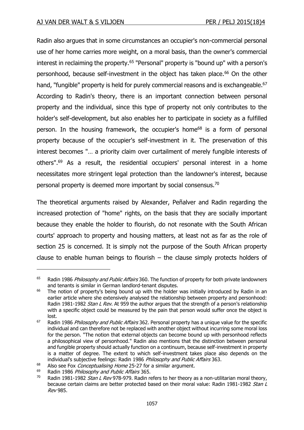Radin also argues that in some circumstances an occupier's non-commercial personal use of her home carries more weight, on a moral basis, than the owner's commercial interest in reclaiming the property.<sup>65</sup> "Personal" property is "bound up" with a person's personhood, because self-investment in the object has taken place.<sup>66</sup> On the other hand, "fungible" property is held for purely commercial reasons and is exchangeable.<sup>67</sup> According to Radin's theory, there is an important connection between personal property and the individual, since this type of property not only contributes to the holder's self-development, but also enables her to participate in society as a fulfilled person. In the housing framework, the occupier's home<sup>68</sup> is a form of personal property because of the occupier's self-investment in it. The preservation of this interest becomes "… a priority claim over curtailment of merely fungible interests of others". <sup>69</sup> As a result, the residential occupiers' personal interest in a home necessitates more stringent legal protection than the landowner's interest, because personal property is deemed more important by social consensus.<sup>70</sup>

The theoretical arguments raised by Alexander, Peñalver and Radin regarding the increased protection of "home" rights, on the basis that they are socially important because they enable the holder to flourish, do not resonate with the South African courts' approach to property and housing matters, at least not as far as the role of section 25 is concerned. It is simply not the purpose of the South African property clause to enable human beings to flourish – the clause simply protects holders of

 $65$  Radin 1986 *Philosophy and Public Affairs* 360. The function of property for both private landowners and tenants is similar in German landlord-tenant disputes.

<sup>&</sup>lt;sup>66</sup> The notion of property's being bound up with the holder was initially introduced by Radin in an earlier article where she extensively analysed the relationship between property and personhood: Radin 1981-1982 Stan L Rev. At 959 the author argues that the strength of a person's relationship with a specific object could be measured by the pain that person would suffer once the object is lost.

 $67$  Radin 1986 *Philosophy and Public Affairs* 362. Personal property has a unique value for the specific individual and can therefore not be replaced with another object without incurring some moral loss for the person. "The notion that external objects can become bound up with personhood reflects a philosophical view of personhood." Radin also mentions that the distinction between personal and fungible property should actually function on a continuum, because self-investment in property is a matter of degree. The extent to which self-investment takes place also depends on the individual's subjective feelings: Radin 1986 Philosophy and Public Affairs 363.

<sup>&</sup>lt;sup>68</sup> Also see Fox *Conceptualising Home* 25-27 for a similar argument.

<sup>&</sup>lt;sup>69</sup> Radin 1986 *Philosophy and Public Affairs* 365.<br><sup>70</sup> Badin 1981-1982 *Stan L Bey* 978-979 Badin re

Radin 1981-1982 Stan L Rev 978-979. Radin refers to her theory as a non-utilitarian moral theory, because certain claims are better protected based on their moral value: Radin 1981-1982 Stan L Rev 985.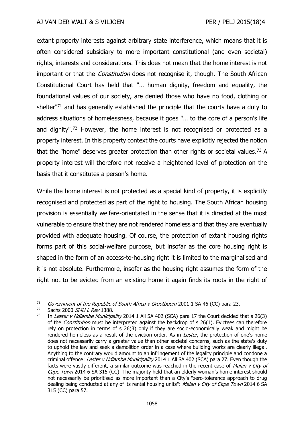extant property interests against arbitrary state interference, which means that it is often considered subsidiary to more important constitutional (and even societal) rights, interests and considerations. This does not mean that the home interest is not important or that the *Constitution* does not recognise it, though. The South African Constitutional Court has held that "… human dignity, freedom and equality, the foundational values of our society, are denied those who have no food, clothing or shelter<sup>"71</sup> and has generally established the principle that the courts have a duty to address situations of homelessness, because it goes "… to the core of a person's life and dignity".<sup>72</sup> However, the home interest is not recognised or protected as a property interest. In this property context the courts have explicitly rejected the notion that the "home" deserves greater protection than other rights or societal values.<sup>73</sup> A property interest will therefore not receive a heightened level of protection on the basis that it constitutes a person's home.

While the home interest is not protected as a special kind of property, it is explicitly recognised and protected as part of the right to housing. The South African housing provision is essentially welfare-orientated in the sense that it is directed at the most vulnerable to ensure that they are not rendered homeless and that they are eventually provided with adequate housing. Of course, the protection of extant housing rights forms part of this social-welfare purpose, but insofar as the core housing right is shaped in the form of an access-to-housing right it is limited to the marginalised and it is not absolute. Furthermore, insofar as the housing right assumes the form of the right not to be evicted from an existing home it again finds its roots in the right of

<sup>&</sup>lt;sup>71</sup> Government of the Republic of South Africa v Grootboom 2001 1 SA 46 (CC) para 23.

 $72$  Sachs 2000 SMU L Rev 1388.

<sup>73</sup> In Lester v Ndlambe Municipality 2014 1 All SA 402 (SCA) para 17 the Court decided that s 26(3) of the *Constitution* must be interpreted against the backdrop of  $s$  26(1). Evictees can therefore rely on protection in terms of s 26(3) only if they are socio-economically weak and might be rendered homeless as a result of the eviction order. As in *Lester*, the protection of one's home does not necessarily carry a greater value than other societal concerns, such as the state's duty to uphold the law and seek a demolition order in a case where building works are clearly illegal. Anything to the contrary would amount to an infringement of the legality principle and condone a criminal offence: Lester v Ndlambe Municipality 2014 1 All SA 402 (SCA) para 27. Even though the facts were vastly different, a similar outcome was reached in the recent case of Malan  $v$  City of Cape Town 2014 6 SA 315 (CC). The majority held that an elderly woman's home interest should not necessarily be prioritised as more important than a City's "zero-tolerance approach to drug dealing being conducted at any of its rental housing units": Malan v City of Cape Town 2014 6 SA 315 (CC) para 57.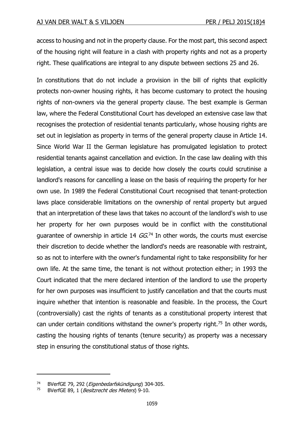access to housing and not in the property clause. For the most part, this second aspect of the housing right will feature in a clash with property rights and not as a property right. These qualifications are integral to any dispute between sections 25 and 26.

In constitutions that do not include a provision in the bill of rights that explicitly protects non-owner housing rights, it has become customary to protect the housing rights of non-owners via the general property clause. The best example is German law, where the Federal Constitutional Court has developed an extensive case law that recognises the protection of residential tenants particularly, whose housing rights are set out in legislation as property in terms of the general property clause in Article 14. Since World War II the German legislature has promulgated legislation to protect residential tenants against cancellation and eviction. In the case law dealing with this legislation, a central issue was to decide how closely the courts could scrutinise a landlord's reasons for cancelling a lease on the basis of requiring the property for her own use. In 1989 the Federal Constitutional Court recognised that tenant-protection laws place considerable limitations on the ownership of rental property but argued that an interpretation of these laws that takes no account of the landlord's wish to use her property for her own purposes would be in conflict with the constitutional guarantee of ownership in article 14  $GG^{74}$  In other words, the courts must exercise their discretion to decide whether the landlord's needs are reasonable with restraint, so as not to interfere with the owner's fundamental right to take responsibility for her own life. At the same time, the tenant is not without protection either; in 1993 the Court indicated that the mere declared intention of the landlord to use the property for her own purposes was insufficient to justify cancellation and that the courts must inquire whether that intention is reasonable and feasible. In the process, the Court (controversially) cast the rights of tenants as a constitutional property interest that can under certain conditions withstand the owner's property right.<sup>75</sup> In other words, casting the housing rights of tenants (tenure security) as property was a necessary step in ensuring the constitutional status of those rights.

<sup>74</sup> BVerfGE 79, 292 (Eigenbedarfskündigung) 304-305.

<sup>75</sup> BVerfGE 89, 1 (Besitzrecht des Mieters) 9-10.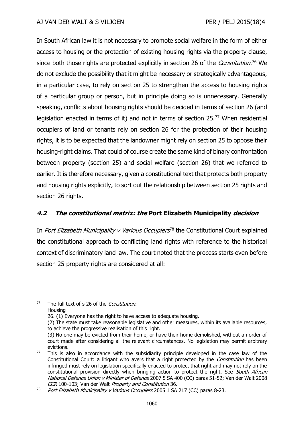In South African law it is not necessary to promote social welfare in the form of either access to housing or the protection of existing housing rights via the property clause, since both those rights are protected explicitly in section 26 of the *Constitution*.<sup>76</sup> We do not exclude the possibility that it might be necessary or strategically advantageous, in a particular case, to rely on section 25 to strengthen the access to housing rights of a particular group or person, but in principle doing so is unnecessary. Generally speaking, conflicts about housing rights should be decided in terms of section 26 (and legislation enacted in terms of it) and not in terms of section 25.<sup>77</sup> When residential occupiers of land or tenants rely on section 26 for the protection of their housing rights, it is to be expected that the landowner might rely on section 25 to oppose their housing-right claims. That could of course create the same kind of binary confrontation between property (section 25) and social welfare (section 26) that we referred to earlier. It is therefore necessary, given a constitutional text that protects both property and housing rights explicitly, to sort out the relationship between section 25 rights and section 26 rights.

## **4.2 The constitutional matrix: the Port Elizabeth Municipality decision**

In Port Elizabeth Municipality v Various Occupiers<sup>78</sup> the Constitutional Court explained the constitutional approach to conflicting land rights with reference to the historical context of discriminatory land law. The court noted that the process starts even before section 25 property rights are considered at all:

<sup>76</sup> The full text of s 26 of the *Constitution*: Housing

-

26. (1) Everyone has the right to have access to adequate housing.

<sup>(2)</sup> The state must take reasonable legislative and other measures, within its available resources, to achieve the progressive realisation of this right.

<sup>(3)</sup> No one may be evicted from their home, or have their home demolished, without an order of court made after considering all the relevant circumstances. No legislation may permit arbitrary evictions.

 $77$  This is also in accordance with the subsidiarity principle developed in the case law of the Constitutional Court: a litigant who avers that a right protected by the *Constitution* has been infringed must rely on legislation specifically enacted to protect that right and may not rely on the constitutional provision directly when bringing action to protect the right. See South African National Defence Union v Minister of Defence 2007 5 SA 400 (CC) paras 51-52; Van der Walt 2008 CCR 100-103; Van der Walt Property and Constitution 36.

<sup>&</sup>lt;sup>78</sup> Port Elizabeth Municipality v Various Occupiers 2005 1 SA 217 (CC) paras 8-23.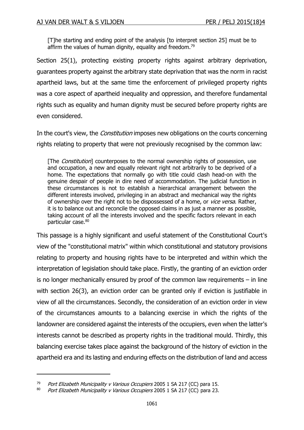[T]he starting and ending point of the analysis [to interpret section 25] must be to affirm the values of human dignity, equality and freedom.<sup>79</sup>

Section 25(1), protecting existing property rights against arbitrary deprivation, guarantees property against the arbitrary state deprivation that was the norm in racist apartheid laws, but at the same time the enforcement of privileged property rights was a core aspect of apartheid inequality and oppression, and therefore fundamental rights such as equality and human dignity must be secured before property rights are even considered.

In the court's view, the *Constitution* imposes new obligations on the courts concerning rights relating to property that were not previously recognised by the common law:

[The *Constitution*] counterposes to the normal ownership rights of possession, use and occupation, a new and equally relevant right not arbitrarily to be deprived of a home. The expectations that normally go with title could clash head-on with the genuine despair of people in dire need of accommodation. The judicial function in these circumstances is not to establish a hierarchical arrangement between the different interests involved, privileging in an abstract and mechanical way the rights of ownership over the right not to be dispossessed of a home, or *vice versa*. Rather, it is to balance out and reconcile the opposed claims in as just a manner as possible, taking account of all the interests involved and the specific factors relevant in each particular case.<sup>80</sup>

This passage is a highly significant and useful statement of the Constitutional Court's view of the "constitutional matrix" within which constitutional and statutory provisions relating to property and housing rights have to be interpreted and within which the interpretation of legislation should take place. Firstly, the granting of an eviction order is no longer mechanically ensured by proof of the common law requirements  $-$  in line with section 26(3), an eviction order can be granted only if eviction is justifiable in view of all the circumstances. Secondly, the consideration of an eviction order in view of the circumstances amounts to a balancing exercise in which the rights of the landowner are considered against the interests of the occupiers, even when the latter's interests cannot be described as property rights in the traditional mould. Thirdly, this balancing exercise takes place against the background of the history of eviction in the apartheid era and its lasting and enduring effects on the distribution of land and access

<sup>&</sup>lt;sup>79</sup> Port Elizabeth Municipality y Various Occupiers 2005 1 SA 217 (CC) para 15.

<sup>80</sup> Port Elizabeth Municipality v Various Occupiers 2005 1 SA 217 (CC) para 23.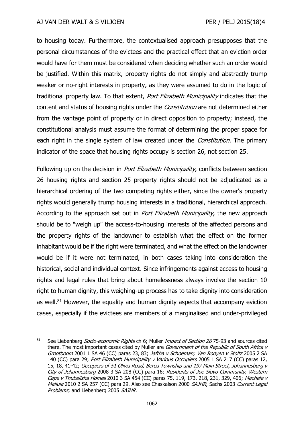to housing today. Furthermore, the contextualised approach presupposes that the personal circumstances of the evictees and the practical effect that an eviction order would have for them must be considered when deciding whether such an order would be justified. Within this matrix, property rights do not simply and abstractly trump weaker or no-right interests in property, as they were assumed to do in the logic of traditional property law. To that extent, Port Elizabeth Municipality indicates that the content and status of housing rights under the Constitution are not determined either from the vantage point of property or in direct opposition to property; instead, the constitutional analysis must assume the format of determining the proper space for each right in the single system of law created under the *Constitution*. The primary indicator of the space that housing rights occupy is section 26, not section 25.

Following up on the decision in *Port Elizabeth Municipality*, conflicts between section 26 housing rights and section 25 property rights should not be adjudicated as a hierarchical ordering of the two competing rights either, since the owner's property rights would generally trump housing interests in a traditional, hierarchical approach. According to the approach set out in *Port Elizabeth Municipality*, the new approach should be to "weigh up" the access-to-housing interests of the affected persons and the property rights of the landowner to establish what the effect on the former inhabitant would be if the right were terminated, and what the effect on the landowner would be if it were not terminated, in both cases taking into consideration the historical, social and individual context. Since infringements against access to housing rights and legal rules that bring about homelessness always involve the section 10 right to human dignity, this weighing-up process has to take dignity into consideration as well. $81$  However, the equality and human dignity aspects that accompany eviction cases, especially if the evictees are members of a marginalised and under-privileged

<sup>&</sup>lt;sup>81</sup> See Liebenberg Socio-economic Rights ch 6; Muller Impact of Section 26 75-93 and sources cited there. The most important cases cited by Muller are Government of the Republic of South Africa v Grootboom 2001 1 SA 46 (CC) paras 23, 83; Jaftha v Schoeman; Van Rooyen v Stoltz 2005 2 SA 140 (CC) para 29; Port Elizabeth Municipality v Various Occupiers 2005 1 SA 217 (CC) paras 12, 15, 18, 41-42; Occupiers of 51 Olivia Road, Berea Township and 197 Main Street, Johannesburg v City of Johannesburg 2008 3 SA 208 (CC) para 16; Residents of Joe Slovo Community, Western Cape v Thubelisha Homes 2010 3 SA 454 (CC) paras 75, 119, 173, 218, 231, 329, 406; Machele <sup>v</sup> Mailula 2010 2 SA 257 (CC) para 29. Also see Chaskalson 2000 SAJHR; Sachs 2003 Current Legal Problems; and Liebenberg 2005 SAJHR.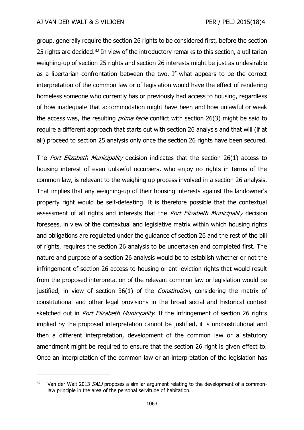group, generally require the section 26 rights to be considered first, before the section 25 rights are decided.<sup>82</sup> In view of the introductory remarks to this section, a utilitarian weighing-up of section 25 rights and section 26 interests might be just as undesirable as a libertarian confrontation between the two. If what appears to be the correct interpretation of the common law or of legislation would have the effect of rendering homeless someone who currently has or previously had access to housing, regardless of how inadequate that accommodation might have been and how unlawful or weak the access was, the resulting *prima facie* conflict with section 26(3) might be said to require a different approach that starts out with section 26 analysis and that will (if at all) proceed to section 25 analysis only once the section 26 rights have been secured.

The *Port Elizabeth Municipality* decision indicates that the section 26(1) access to housing interest of even unlawful occupiers, who enjoy no rights in terms of the common law, is relevant to the weighing up process involved in a section 26 analysis. That implies that any weighing-up of their housing interests against the landowner's property right would be self-defeating. It is therefore possible that the contextual assessment of all rights and interests that the *Port Elizabeth Municipality* decision foresees, in view of the contextual and legislative matrix within which housing rights and obligations are regulated under the guidance of section 26 and the rest of the bill of rights, requires the section 26 analysis to be undertaken and completed first. The nature and purpose of a section 26 analysis would be to establish whether or not the infringement of section 26 access-to-housing or anti-eviction rights that would result from the proposed interpretation of the relevant common law or legislation would be justified, in view of section 36(1) of the *Constitution*, considering the matrix of constitutional and other legal provisions in the broad social and historical context sketched out in *Port Elizabeth Municipality*. If the infringement of section 26 rights implied by the proposed interpretation cannot be justified, it is unconstitutional and then a different interpretation, development of the common law or a statutory amendment might be required to ensure that the section 26 right is given effect to. Once an interpretation of the common law or an interpretation of the legislation has

<sup>82</sup> Van der Walt 2013  $SALJ$  proposes a similar argument relating to the development of a commonlaw principle in the area of the personal servitude of habitation.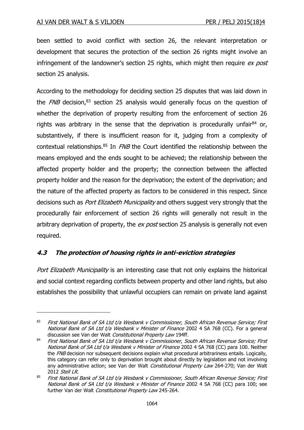been settled to avoid conflict with section 26, the relevant interpretation or development that secures the protection of the section 26 rights might involve an infringement of the landowner's section 25 rights, which might then require  $ex$  post section 25 analysis.

According to the methodology for deciding section 25 disputes that was laid down in the  $FNB$  decision,  $83$  section 25 analysis would generally focus on the question of whether the deprivation of property resulting from the enforcement of section 26 rights was arbitrary in the sense that the deprivation is procedurally unfair $84$  or, substantively, if there is insufficient reason for it, judging from a complexity of contextual relationships. $85$  In *FNB* the Court identified the relationship between the means employed and the ends sought to be achieved; the relationship between the affected property holder and the property; the connection between the affected property holder and the reason for the deprivation; the extent of the deprivation; and the nature of the affected property as factors to be considered in this respect. Since decisions such as *Port Elizabeth Municipality* and others suggest very strongly that the procedurally fair enforcement of section 26 rights will generally not result in the arbitrary deprivation of property, the ex post section 25 analysis is generally not even required.

## **4.3 The protection of housing rights in anti-eviction strategies**

Port Elizabeth Municipality is an interesting case that not only explains the historical and social context regarding conflicts between property and other land rights, but also establishes the possibility that unlawful occupiers can remain on private land against

<sup>83</sup> First National Bank of SA Ltd t/a Wesbank v Commissioner, South African Revenue Service; First National Bank of SA Ltd t/a Wesbank v Minister of Finance 2002 4 SA 768 (CC). For a general discussion see Van der Walt Constitutional Property Law 194ff.

 $84$  First National Bank of SA Ltd t/a Wesbank v Commissioner, South African Revenue Service; First National Bank of SA Ltd t/a Wesbank v Minister of Finance 2002 4 SA 768 (CC) para 100. Neither the FNB decision nor subsequent decisions explain what procedural arbitrariness entails. Logically, this category can refer only to deprivation brought about directly by legislation and not involving any administrative action; see Van der Walt Constitutional Property Law 264-270; Van der Walt 2012 Stell LR.

<sup>85</sup> First National Bank of SA Ltd t/a Wesbank v Commissioner, South African Revenue Service; First National Bank of SA Ltd t/a Wesbank v Minister of Finance 2002 4 SA 768 (CC) para 100; see further Van der Walt Constitutional Property Law 245-264.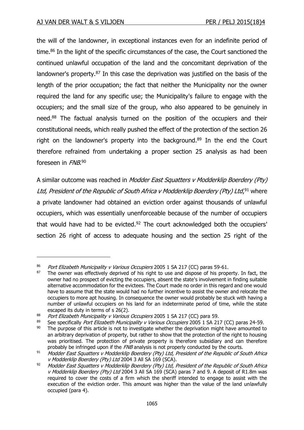the will of the landowner, in exceptional instances even for an indefinite period of time.<sup>86</sup> In the light of the specific circumstances of the case, the Court sanctioned the continued unlawful occupation of the land and the concomitant deprivation of the landowner's property.<sup>87</sup> In this case the deprivation was justified on the basis of the length of the prior occupation; the fact that neither the Municipality nor the owner required the land for any specific use; the Municipality's failure to engage with the occupiers; and the small size of the group, who also appeared to be genuinely in need.<sup>88</sup> The factual analysis turned on the position of the occupiers and their constitutional needs, which really pushed the effect of the protection of the section 26 right on the landowner's property into the background.<sup>89</sup> In the end the Court therefore refrained from undertaking a proper section 25 analysis as had been foreseen in *FNB*.<sup>90</sup>

A similar outcome was reached in Modder East Squatters v Modderklip Boerdery (Pty) Ltd, President of the Republic of South Africa v Modderklip Boerdery (Pty) Ltd,<sup>91</sup> where a private landowner had obtained an eviction order against thousands of unlawful occupiers, which was essentially unenforceable because of the number of occupiers that would have had to be evicted. $92$  The court acknowledged both the occupiers' section 26 right of access to adequate housing and the section 25 right of the

<sup>&</sup>lt;sup>86</sup> Port Elizabeth Municipality v Various Occupiers 2005 1 SA 217 (CC) paras 59-61.<br><sup>87</sup> The owner was effectively deprived of his right to use and dispose of his prope

The owner was effectively deprived of his right to use and dispose of his property. In fact, the owner had no prospect of evicting the occupiers, absent the state's involvement in finding suitable alternative accommodation for the evictees. The Court made no order in this regard and one would have to assume that the state would had no further incentive to assist the owner and relocate the occupiers to more apt housing. In consequence the owner would probably be stuck with having a number of unlawful occupiers on his land for an indeterminate period of time, while the state escaped its duty in terms of s 26(2).

<sup>&</sup>lt;sup>88</sup> Port Elizabeth Municipality v Various Occupiers 2005 1 SA 217 (CC) para 59.<br><sup>89</sup> See specifically *Port Elizabeth Municipality v Various Occupiers* 2005 1 SA 21.

See specifically *Port Elizabeth Municipality y Various Occupiers* 2005 1 SA 217 (CC) paras 24-59.

<sup>90</sup> The purpose of this article is not to investigate whether the deprivation might have amounted to an arbitrary deprivation of property, but rather to show that the protection of the right to housing was prioritised. The protection of private property is therefore subsidiary and can therefore probably be infringed upon if the FNB analysis is not properly conducted by the courts.

<sup>&</sup>lt;sup>91</sup> Modder East Squatters v Modderklip Boerdery (Pty) Ltd, President of the Republic of South Africa v Modderklip Boerdery (Pty) Ltd 2004 3 All SA 169 (SCA).

 $92$  Modder East Squatters v Modderklip Boerdery (Pty) Ltd, President of the Republic of South Africa v Modderklip Boerdery (Pty) Ltd 2004 3 All SA 169 (SCA) paras 7 and 9. A deposit of R1.8m was required to cover the costs of a firm which the sheriff intended to engage to assist with the execution of the eviction order. This amount was higher than the value of the land unlawfully occupied (para 4).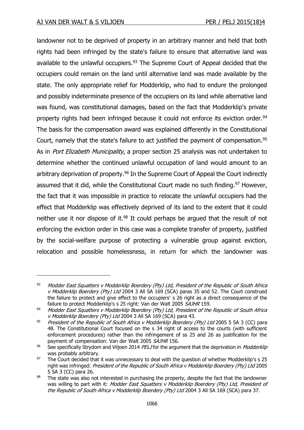landowner not to be deprived of property in an arbitrary manner and held that both rights had been infringed by the state's failure to ensure that alternative land was available to the unlawful occupiers.<sup>93</sup> The Supreme Court of Appeal decided that the occupiers could remain on the land until alternative land was made available by the state. The only appropriate relief for Modderklip, who had to endure the prolonged and possibly indeterminate presence of the occupiers on its land while alternative land was found, was constitutional damages, based on the fact that Modderklip's private property rights had been infringed because it could not enforce its eviction order.<sup>94</sup> The basis for the compensation award was explained differently in the Constitutional Court, namely that the state's failure to act justified the payment of compensation.<sup>95</sup> As in Port Elizabeth Municipality, a proper section 25 analysis was not undertaken to determine whether the continued unlawful occupation of land would amount to an arbitrary deprivation of property.<sup>96</sup> In the Supreme Court of Appeal the Court indirectly assumed that it did, while the Constitutional Court made no such finding.<sup>97</sup> However, the fact that it was impossible in practice to relocate the unlawful occupiers had the effect that Modderklip was effectively deprived of its land to the extent that it could neither use it nor dispose of it.<sup>98</sup> It could perhaps be argued that the result of not enforcing the eviction order in this case was a complete transfer of property, justified by the social-welfare purpose of protecting a vulnerable group against eviction, relocation and possible homelessness, in return for which the landowner was

<sup>93</sup> Modder East Squatters v Modderklip Boerdery (Pty) Ltd, President of the Republic of South Africa v Modderklip Boerdery (Pty) Ltd 2004 3 All SA 169 (SCA) paras 35 and 52. The Court construed the failure to protect and give effect to the occupiers' s 26 right as a direct consequence of the failure to protect Modderklip's s 25 right: Van der Walt 2005 SAJHR 159.

<sup>94</sup> Modder East Squatters v Modderklip Boerdery (Pty) Ltd, President of the Republic of South Africa v Modderklip Boerdery (Pty) Ltd 2004 3 All SA 169 (SCA) para 43.

<sup>&</sup>lt;sup>95</sup> President of the Republic of South Africa v Modderklip Boerdery (Pty) Ltd 2005 5 SA 3 (CC) para 48. The Constitutional Court focused on the s 34 right of access to the courts (with sufficient enforcement procedures) rather than the infringement of ss 25 and 26 as justification for the payment of compensation: Van der Walt 2005 SAJHR 156.

<sup>96</sup> See specifically Strydom and Viljoen 2014 PELJ for the argument that the deprivation in Modderklip was probably arbitrary.

<sup>&</sup>lt;sup>97</sup> The Court decided that it was unnecessary to deal with the question of whether Modderklip's s 25 right was infringed: President of the Republic of South Africa v Modderklip Boerdery (Pty) Ltd 2005 5 SA 3 (CC) para 26.

<sup>&</sup>lt;sup>98</sup> The state was also not interested in purchasing the property, despite the fact that the landowner was willing to part with it: Modder East Squatters v Modderklip Boerdery (Pty) Ltd, President of the Republic of South Africa v Modderklip Boerdery (Pty) Ltd 2004 3 All SA 169 (SCA) para 37.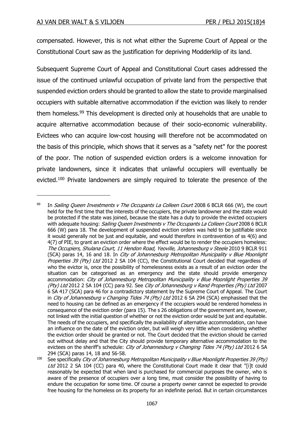compensated. However, this is not what either the Supreme Court of Appeal or the Constitutional Court saw as the justification for depriving Modderklip of its land.

Subsequent Supreme Court of Appeal and Constitutional Court cases addressed the issue of the continued unlawful occupation of private land from the perspective that suspended eviction orders should be granted to allow the state to provide marginalised occupiers with suitable alternative accommodation if the eviction was likely to render them homeless.<sup>99</sup> This development is directed only at households that are unable to acquire alternative accommodation because of their socio-economic vulnerability. Evictees who can acquire low-cost housing will therefore not be accommodated on the basis of this principle, which shows that it serves as a "safety net" for the poorest of the poor. The notion of suspended eviction orders is a welcome innovation for private landowners, since it indicates that unlawful occupiers will eventually be evicted.<sup>100</sup> Private landowners are simply required to tolerate the presence of the

<sup>&</sup>lt;sup>99</sup> In *Sailing Oueen Investments v The Occupants La Colleen Court* 2008 6 BCLR 666 (W), the court held for the first time that the interests of the occupiers, the private landowner and the state would be protected if the state was joined, because the state has a duty to provide the evicted occupiers with adequate housing: Sailing Queen Investments v The Occupants La Colleen Court 2008 6 BCLR 666 (W) para 18. The development of suspended eviction orders was held to be justifiable since it would generally not be just and equitable, and would therefore in contravention of ss 4(6) and 4(7) of PIE, to grant an eviction order where the effect would be to render the occupiers homeless: The Occupiers, Shulana Court, 11 Hendon Road, Yeoville, Johannesburg v Steele 2010 9 BCLR 911 (SCA) paras 14, 16 and 18. In *City of Johannesburg Metropolitan Municipality v Blue Moonlight* Properties 39 (Pty) Ltd 2012 2 SA 104 (CC), the Constitutional Court decided that regardless of who the evictor is, once the possibility of homelessness exists as a result of an eviction order the situation can be categorised as an emergency and the state should provide emergency accommodation: City of Johannesburg Metropolitan Municipality v Blue Moonlight Properties 39 (Pty) Ltd 2012 2 SA 104 (CC) para 92. See City of Johannesburg v Rand Properties (Pty) Ltd 2007 6 SA 417 (SCA) para 46 for a contradictory statement by the Supreme Court of Appeal. The Court in City of Johannesburg v Changing Tides 74 (Pty) Ltd 2012 6 SA 294 (SCA) emphasised that the need to housing can be defined as an emergency if the occupiers would be rendered homeless in consequence of the eviction order (para 15). The s 26 obligations of the government are, however, not linked with the initial question of whether or not the eviction order would be just and equitable. The needs of the occupiers, and specifically the availability of alternative accommodation, can have an influence on the date of the eviction order, but will weigh very little when considering whether the eviction order should be granted or not. The Court decided that the eviction should be carried out without delay and that the City should provide temporary alternative accommodation to the evictees on the sheriff's schedule: City of Johannesburg v Changing Tides 74 (Pty) Ltd 2012 6 SA 294 (SCA) paras 14, 18 and 56-58.

<sup>&</sup>lt;sup>100</sup> See specifically *City of Johannesburg Metropolitan Municipality v Blue Moonlight Properties 39 (Pty)* Ltd 2012 2 SA 104 (CC) para 40, where the Constitutional Court made it clear that "[i]t could reasonably be expected that when land is purchased for commercial purposes the owner, who is aware of the presence of occupiers over a long time, must consider the possibility of having to endure the occupation for some time. Of course a property owner cannot be expected to provide free housing for the homeless on its property for an indefinite period. But in certain circumstances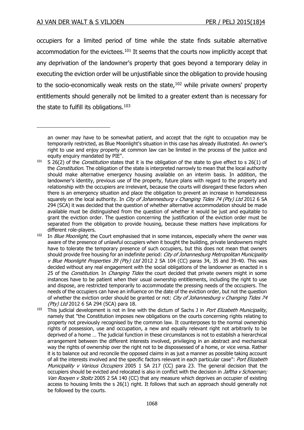occupiers for a limited period of time while the state finds suitable alternative accommodation for the evictees.<sup>101</sup> It seems that the courts now implicitly accept that any deprivation of the landowner's property that goes beyond a temporary delay in executing the eviction order will be unjustifiable since the obligation to provide housing to the socio-economically weak rests on the state, $102$  while private owners' property entitlements should generally not be limited to a greater extent than is necessary for the state to fulfill its obligations. $103$ 

an owner may have to be somewhat patient, and accept that the right to occupation may be temporarily restricted, as Blue Moonlight's situation in this case has already illustrated. An owner's right to use and enjoy property at common law can be limited in the process of the justice and equity enquiry mandated by PIE".

 $101$  S 26(2) of the *Constitution* states that it is the obligation of the state to give effect to s 26(1) of the Constitution. The obligation of the state is interpreted narrowly to mean that the local authority should make alternative emergency housing available on an interim basis. In addition, the landowner's identity, previous use of the property, future plans with regard to the property and relationship with the occupiers are irrelevant, because the courts will disregard these factors when there is an emergency situation and place the obligation to prevent an increase in homelessness squarely on the local authority. In *City of Johannesburg v Changing Tides 74 (Pty) Ltd* 2012 6 SA 294 (SCA) it was decided that the question of whether alternative accommodation should be made available must be distinguished from the question of whether it would be just and equitable to grant the eviction order. The question concerning the justification of the eviction order must be separated from the obligation to provide housing, because these matters have implications for different role-players.

<sup>&</sup>lt;sup>102</sup> In *Blue Moonlight*, the Court emphasised that in some instances, especially where the owner was aware of the presence of unlawful occupiers when it bought the building, private landowners might have to tolerate the temporary presence of such occupiers, but this does not mean that owners should provide free housing for an indefinite period: City of Johannesburg Metropolitan Municipality v Blue Moonlight Properties 39 (Pty) Ltd 2012 2 SA 104 (CC) paras 34, 35 and 39-40. This was decided without any real engagement with the social obligations of the landowner as enacted in s 25 of the *Constitution*. In *Changing Tides* the court decided that private owners might in some instances have to be patient when their usual ownership entitlements, including the right to use and dispose, are restricted temporarily to accommodate the pressing needs of the occupiers. The needs of the occupiers can have an influence on the date of the eviction order, but not the question of whether the eviction order should be granted or not: City of Johannesburg v Changing Tides 74 (Pty) Ltd 2012 6 SA 294 (SCA) para 18.

 $103$  This judicial development is not in line with the dictum of Sachs J in *Port Elizabeth Municipality*, namely that "the Constitution imposes new obligations on the courts concerning rights relating to property not previously recognised by the common law. It counterposes to the normal ownership rights of possession, use and occupation, a new and equally relevant right not arbitrarily to be deprived of a home … The judicial function in these circumstances is not to establish a hierarchical arrangement between the different interests involved, privileging in an abstract and mechanical way the rights of ownership over the right not to be dispossessed of a home, or vice versa. Rather it is to balance out and reconcile the opposed claims in as just a manner as possible taking account of all the interests involved and the specific factors relevant in each particular case": Port Elizabeth Municipality v Various Occupiers 2005 1 SA 217 (CC) para 23. The general decision that the occupiers should be evicted and relocated is also in conflict with the decision in *Jaftha v Schoeman;* Van Rooyen v Stoltz 2005 2 SA 140 (CC) that any measure which deprives an occupier of existing access to housing limits the s 26(1) right. It follows that such an approach should generally not be followed by the courts.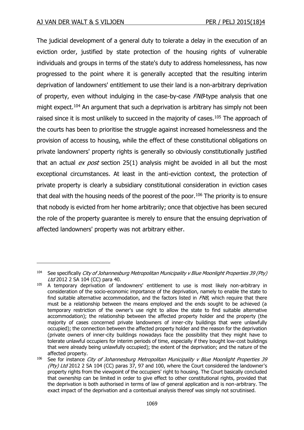The judicial development of a general duty to tolerate a delay in the execution of an eviction order, justified by state protection of the housing rights of vulnerable individuals and groups in terms of the state's duty to address homelessness, has now progressed to the point where it is generally accepted that the resulting interim deprivation of landowners' entitlement to use their land is a non-arbitrary deprivation of property, even without indulging in the case-by-case *FNB*-type analysis that one might expect.<sup>104</sup> An argument that such a deprivation is arbitrary has simply not been raised since it is most unlikely to succeed in the majority of cases.<sup>105</sup> The approach of the courts has been to prioritise the struggle against increased homelessness and the provision of access to housing, while the effect of these constitutional obligations on private landowners' property rights is generally so obviously constitutionally justified that an actual  $ex$  post section 25(1) analysis might be avoided in all but the most exceptional circumstances. At least in the anti-eviction context, the protection of private property is clearly a subsidiary constitutional consideration in eviction cases that deal with the housing needs of the poorest of the poor.<sup>106</sup> The priority is to ensure that nobody is evicted from her home arbitrarily; once that objective has been secured the role of the property guarantee is merely to ensure that the ensuing deprivation of affected landowners' property was not arbitrary either.

 $104$  See specifically *City of Johannesburg Metropolitan Municipality v Blue Moonlight Properties 39 (Pty)* Ltd 2012 2 SA 104 (CC) para 40.

 $105$  A temporary deprivation of landowners' entitlement to use is most likely non-arbitrary in consideration of the socio-economic importance of the deprivation, namely to enable the state to find suitable alternative accommodation, and the factors listed in FNB, which require that there must be a relationship between the means employed and the ends sought to be achieved (a temporary restriction of the owner's use right to allow the state to find suitable alternative accommodation); the relationship between the affected property holder and the property (the majority of cases concerned private landowners of inner-city buildings that were unlawfully occupied); the connection between the affected property holder and the reason for the deprivation (private owners of inner-city buildings nowadays face the possibility that they might have to tolerate unlawful occupiers for interim periods of time, especially if they bought low-cost buildings that were already being unlawfully occupied); the extent of the deprivation; and the nature of the affected property.

 $106$  See for instance City of Johannesburg Metropolitan Municipality v Blue Moonlight Properties 39 (Pty) Ltd 2012 2 SA 104 (CC) paras 37, 97 and 100, where the Court considered the landowner's property rights from the viewpoint of the occupiers' right to housing. The Court basically concluded that ownership can be limited in order to give effect to other constitutional rights, provided that the deprivation is both authorised in terms of law of general application and is non-arbitrary. The exact impact of the deprivation and a contextual analysis thereof was simply not scrutinised.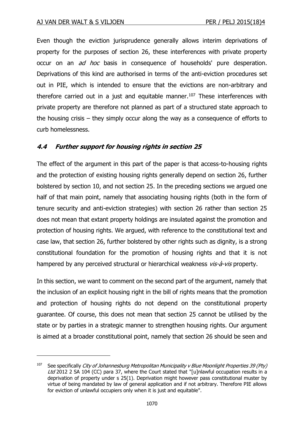Even though the eviction jurisprudence generally allows interim deprivations of property for the purposes of section 26, these interferences with private property occur on an *ad hoc* basis in consequence of households' pure desperation. Deprivations of this kind are authorised in terms of the anti-eviction procedures set out in PIE, which is intended to ensure that the evictions are non-arbitrary and therefore carried out in a just and equitable manner.<sup>107</sup> These interferences with private property are therefore not planned as part of a structured state approach to the housing crisis – they simply occur along the way as a consequence of efforts to curb homelessness.

## **4.4 Further support for housing rights in section 25**

The effect of the argument in this part of the paper is that access-to-housing rights and the protection of existing housing rights generally depend on section 26, further bolstered by section 10, and not section 25. In the preceding sections we argued one half of that main point, namely that associating housing rights (both in the form of tenure security and anti-eviction strategies) with section 26 rather than section 25 does not mean that extant property holdings are insulated against the promotion and protection of housing rights. We argued, with reference to the constitutional text and case law, that section 26, further bolstered by other rights such as dignity, is a strong constitutional foundation for the promotion of housing rights and that it is not hampered by any perceived structural or hierarchical weakness vis-à-vis property.

In this section, we want to comment on the second part of the argument, namely that the inclusion of an explicit housing right in the bill of rights means that the promotion and protection of housing rights do not depend on the constitutional property guarantee. Of course, this does not mean that section 25 cannot be utilised by the state or by parties in a strategic manner to strengthen housing rights. Our argument is aimed at a broader constitutional point, namely that section 26 should be seen and

<sup>&</sup>lt;sup>107</sup> See specifically *City of Johannesburg Metropolitan Municipality v Blue Moonlight Properties 39 (Pty)* Ltd 2012 2 SA 104 (CC) para 37, where the Court stated that "[u]nlawful occupation results in a deprivation of property under s 25(1). Deprivation might however pass constitutional muster by virtue of being mandated by law of general application and if not arbitrary. Therefore PIE allows for eviction of unlawful occupiers only when it is just and equitable".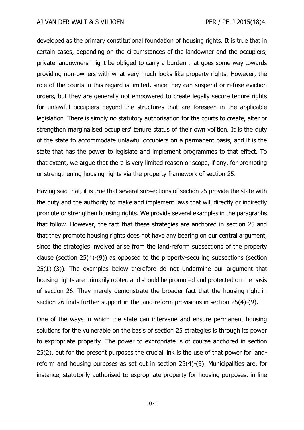developed as the primary constitutional foundation of housing rights. It is true that in certain cases, depending on the circumstances of the landowner and the occupiers, private landowners might be obliged to carry a burden that goes some way towards providing non-owners with what very much looks like property rights. However, the role of the courts in this regard is limited, since they can suspend or refuse eviction orders, but they are generally not empowered to create legally secure tenure rights for unlawful occupiers beyond the structures that are foreseen in the applicable legislation. There is simply no statutory authorisation for the courts to create, alter or strengthen marginalised occupiers' tenure status of their own volition. It is the duty of the state to accommodate unlawful occupiers on a permanent basis, and it is the state that has the power to legislate and implement programmes to that effect. To that extent, we argue that there is very limited reason or scope, if any, for promoting or strengthening housing rights via the property framework of section 25.

Having said that, it is true that several subsections of section 25 provide the state with the duty and the authority to make and implement laws that will directly or indirectly promote or strengthen housing rights. We provide several examples in the paragraphs that follow. However, the fact that these strategies are anchored in section 25 and that they promote housing rights does not have any bearing on our central argument, since the strategies involved arise from the land-reform subsections of the property clause (section 25(4)-(9)) as opposed to the property-securing subsections (section 25(1)-(3)). The examples below therefore do not undermine our argument that housing rights are primarily rooted and should be promoted and protected on the basis of section 26. They merely demonstrate the broader fact that the housing right in section 26 finds further support in the land-reform provisions in section 25(4)-(9).

One of the ways in which the state can intervene and ensure permanent housing solutions for the vulnerable on the basis of section 25 strategies is through its power to expropriate property. The power to expropriate is of course anchored in section 25(2), but for the present purposes the crucial link is the use of that power for landreform and housing purposes as set out in section 25(4)-(9). Municipalities are, for instance, statutorily authorised to expropriate property for housing purposes, in line

1071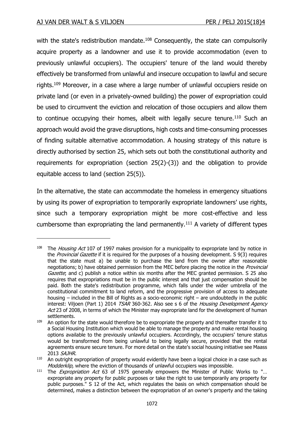with the state's redistribution mandate. $108$  Consequently, the state can compulsorily acquire property as a landowner and use it to provide accommodation (even to previously unlawful occupiers). The occupiers' tenure of the land would thereby effectively be transformed from unlawful and insecure occupation to lawful and secure rights.<sup>109</sup> Moreover, in a case where a large number of unlawful occupiers reside on private land (or even in a privately-owned building) the power of expropriation could be used to circumvent the eviction and relocation of those occupiers and allow them to continue occupying their homes, albeit with legally secure tenure.<sup>110</sup> Such an approach would avoid the grave disruptions, high costs and time-consuming processes of finding suitable alternative accommodation. A housing strategy of this nature is directly authorised by section 25, which sets out both the constitutional authority and requirements for expropriation (section 25(2)-(3)) and the obligation to provide equitable access to land (section 25(5)).

In the alternative, the state can accommodate the homeless in emergency situations by using its power of expropriation to temporarily expropriate landowners' use rights, since such a temporary expropriation might be more cost-effective and less cumbersome than expropriating the land permanently.<sup>111</sup> A variety of different types

<sup>&</sup>lt;sup>108</sup> The *Housing Act* 107 of 1997 makes provision for a municipality to expropriate land by notice in the *Provincial Gazette* if it is required for the purposes of a housing development. S 9(3) requires that the state must a) be unable to purchase the land from the owner after reasonable negotiations; b) have obtained permission from the MEC before placing the notice in the *Provincial* Gazette; and c) publish a notice within six months after the MEC granted permission. S 25 also requires that expropriations must be in the public interest and that just compensation should be paid. Both the state's redistribution programme, which falls under the wider umbrella of the constitutional commitment to land reform, and the progressive provision of access to adequate housing – included in the Bill of Rights as a socio-economic right – are undoubtedly in the public interest: Viljoen (Part 1) 2014 TSAR 360-362. Also see s 6 of the Housing Development Agency Act 23 of 2008, in terms of which the Minister may expropriate land for the development of human settlements.

 $109$  An option for the state would therefore be to expropriate the property and thereafter transfer it to a Social Housing Institution which would be able to manage the property and make rental housing options available to the previously unlawful occupiers. Accordingly, the occupiers' tenure status would be transformed from being unlawful to being legally secure, provided that the rental agreements ensure secure tenure. For more detail on the state's social housing initiative see Maass 2013 SAJHR.

 $110$  An outright expropriation of property would evidently have been a logical choice in a case such as Modderklip, where the eviction of thousands of unlawful occupiers was impossible.

<sup>&</sup>lt;sup>111</sup> The *Expropriation Act* 63 of 1975 generally empowers the Minister of Public Works to "... expropriate any property for public purposes or take the right to use temporarily any property for public purposes." S 12 of the Act, which regulates the basis on which compensation should be determined, makes a distinction between the expropriation of an owner's property and the taking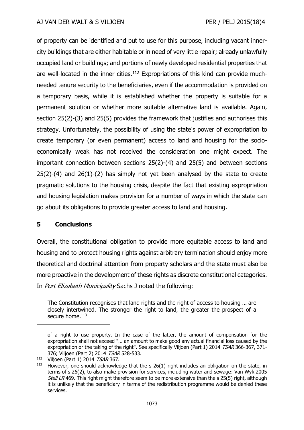of property can be identified and put to use for this purpose, including vacant innercity buildings that are either habitable or in need of very little repair; already unlawfully occupied land or buildings; and portions of newly developed residential properties that are well-located in the inner cities. $112$  Expropriations of this kind can provide muchneeded tenure security to the beneficiaries, even if the accommodation is provided on a temporary basis, while it is established whether the property is suitable for a permanent solution or whether more suitable alternative land is available. Again, section 25(2)-(3) and 25(5) provides the framework that justifies and authorises this strategy. Unfortunately, the possibility of using the state's power of expropriation to create temporary (or even permanent) access to land and housing for the socioeconomically weak has not received the consideration one might expect. The important connection between sections 25(2)-(4) and 25(5) and between sections  $25(2)-(4)$  and  $26(1)-(2)$  has simply not yet been analysed by the state to create pragmatic solutions to the housing crisis, despite the fact that existing expropriation and housing legislation makes provision for a number of ways in which the state can go about its obligations to provide greater access to land and housing.

## **5 Conclusions**

-

Overall, the constitutional obligation to provide more equitable access to land and housing and to protect housing rights against arbitrary termination should enjoy more theoretical and doctrinal attention from property scholars and the state must also be more proactive in the development of these rights as discrete constitutional categories. In Port Elizabeth Municipality Sachs J noted the following:

The Constitution recognises that land rights and the right of access to housing … are closely intertwined. The stronger the right to land, the greater the prospect of a secure home.<sup>113</sup>

of a right to use property. In the case of the latter, the amount of compensation for the expropriation shall not exceed "… an amount to make good any actual financial loss caused by the expropriation or the taking of the right". See specifically Viljoen (Part 1) 2014 TSAR 366-367, 371-376; Viljoen (Part 2) 2014 7SAR 528-533.

<sup>112</sup> Viljoen (Part 1) 2014 TSAR 367.

 $113$  However, one should acknowledge that the s 26(1) right includes an obligation on the state, in terms of s 26(2), to also make provision for services, including water and sewage: Van Wyk 2005 Stell LR 469. This right might therefore seem to be more extensive than the s 25(5) right, although it is unlikely that the beneficiary in terms of the redistribution programme would be denied these services.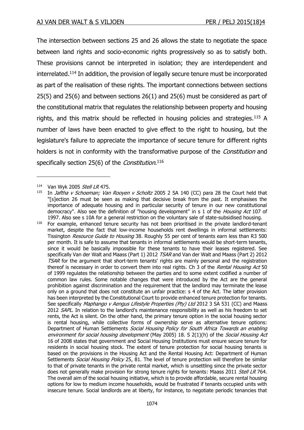The intersection between sections 25 and 26 allows the state to negotiate the space between land rights and socio-economic rights progressively so as to satisfy both. These provisions cannot be interpreted in isolation; they are interdependent and interrelated.<sup>114</sup> In addition, the provision of legally secure tenure must be incorporated as part of the realisation of these rights. The important connections between sections 25(5) and 25(6) and between sections 26(1) and 25(6) must be considered as part of the constitutional matrix that regulates the relationship between property and housing rights, and this matrix should be reflected in housing policies and strategies.<sup>115</sup> A number of laws have been enacted to give effect to the right to housing, but the legislature's failure to appreciate the importance of secure tenure for different rights holders is not in conformity with the transformative purpose of the *Constitution* and specifically section 25(6) of the Constitution.<sup>116</sup>

-

 $116$  For example, enhanced tenure security has not been prioritised in the private landlord-tenant market, despite the fact that low-income households rent dwellings in informal settlements: Tissington Resource Guide to Housing 38. Roughly 55 per cent of tenants earn less than R3 500 per month. It is safe to assume that tenants in informal settlements would be short-term tenants, since it would be basically impossible for these tenants to have their leases registered. See specifically Van der Walt and Maass (Part 1) 2012 TSAR and Van der Walt and Maass (Part 2) 2012 TSAR for the argument that short-term tenants' rights are mainly personal and the registration thereof is necessary in order to convert them into real rights. Ch 3 of the Rental Housing Act 50 of 1999 regulates the relationship between the parties and to some extent codified a number of common law rules. Some notable changes that were introduced by the Act are the general prohibition against discrimination and the requirement that the landlord may terminate the lease only on a ground that does not constitute an unfair practice: s 4 of the Act. The latter provision has been interpreted by the Constitutional Court to provide enhanced tenure protection for tenants. See specifically Maphango v Aengus Lifestyle Properties (Pty) Ltd 2012 3 SA 531 (CC) and Maass 2012 SAPL. In relation to the landlord's maintenance responsibility as well as his freedom to set rents, the Act is silent. On the other hand, the primary tenure option in the social housing sector is rental housing, while collective forms of ownership serve as alternative tenure options: Department of Human Settlements Social Housing Policy for South Africa Towards an enabling environment for social housing development (May 2005) 18. S 2(1)(h) of the Social Housing Act 16 of 2008 states that government and Social Housing Institutions must ensure secure tenure for residents in social housing stock. The extent of tenure protection for social housing tenants is based on the provisions in the Housing Act and the Rental Housing Act: Department of Human Settlements Social Housing Policy 25, 81. The level of tenure protection will therefore be similar to that of private tenants in the private rental market, which is unsettling since the private sector does not generally make provision for strong tenure rights for tenants: Maass 2011 Stell LR 764. The overall aim of the social housing initiative, which is to provide affordable, secure rental housing options for low to medium income households, would be frustrated if tenants occupied units with insecure tenure. Social landlords are at liberty, for instance, to negotiate periodic tenancies that

<sup>&</sup>lt;sup>114</sup> Van Wyk 2005 *Stell LR* 475.<br><sup>115</sup> In Jaftha v Schoeman: Van

In Jaftha v Schoeman; Van Rooyen v Scholtz 2005 2 SA 140 (CC) para 28 the Court held that "[s]ection 26 must be seen as making that decisive break from the past. It emphasises the importance of adequate housing and in particular security of tenure in our new constitutional democracy". Also see the definition of "housing development" in s 1 of the *Housing Act* 107 of 1997. Also see s 10A for a general restriction on the voluntary sale of state-subsidised housing.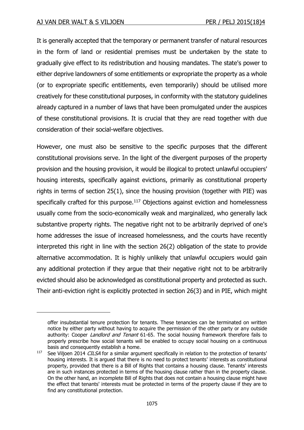It is generally accepted that the temporary or permanent transfer of natural resources in the form of land or residential premises must be undertaken by the state to gradually give effect to its redistribution and housing mandates. The state's power to either deprive landowners of some entitlements or expropriate the property as a whole (or to expropriate specific entitlements, even temporarily) should be utilised more creatively for these constitutional purposes, in conformity with the statutory guidelines already captured in a number of laws that have been promulgated under the auspices of these constitutional provisions. It is crucial that they are read together with due consideration of their social-welfare objectives.

However, one must also be sensitive to the specific purposes that the different constitutional provisions serve. In the light of the divergent purposes of the property provision and the housing provision, it would be illogical to protect unlawful occupiers' housing interests, specifically against evictions, primarily as constitutional property rights in terms of section 25(1), since the housing provision (together with PIE) was specifically crafted for this purpose.<sup>117</sup> Objections against eviction and homelessness usually come from the socio-economically weak and marginalized, who generally lack substantive property rights. The negative right not to be arbitrarily deprived of one's home addresses the issue of increased homelessness, and the courts have recently interpreted this right in line with the section 26(2) obligation of the state to provide alternative accommodation. It is highly unlikely that unlawful occupiers would gain any additional protection if they argue that their negative right not to be arbitrarily evicted should also be acknowledged as constitutional property and protected as such. Their anti-eviction right is explicitly protected in section 26(3) and in PIE, which might

offer insubstantial tenure protection for tenants. These tenancies can be terminated on written notice by either party without having to acquire the permission of the other party or any outside authority: Cooper Landlord and Tenant 61-65. The social housing framework therefore fails to properly prescribe how social tenants will be enabled to occupy social housing on a continuous basis and consequently establish a home.

<sup>&</sup>lt;sup>117</sup> See Viljoen 2014 CILSA for a similar argument specifically in relation to the protection of tenants' housing interests. It is argued that there is no need to protect tenants' interests as constitutional property, provided that there is a Bill of Rights that contains a housing clause. Tenants' interests are in such instances protected in terms of the housing clause rather than in the property clause. On the other hand, an incomplete Bill of Rights that does not contain a housing clause might have the effect that tenants' interests must be protected in terms of the property clause if they are to find any constitutional protection.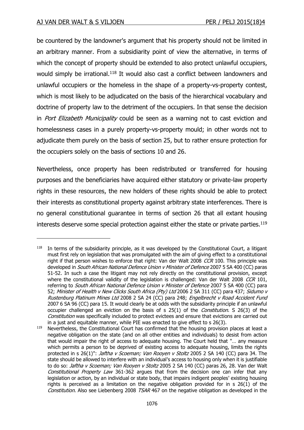be countered by the landowner's argument that his property should not be limited in an arbitrary manner. From a subsidiarity point of view the alternative, in terms of which the concept of property should be extended to also protect unlawful occupiers, would simply be irrational.<sup>118</sup> It would also cast a conflict between landowners and unlawful occupiers or the homeless in the shape of a property-vs-property contest, which is most likely to be adjudicated on the basis of the hierarchical vocabulary and doctrine of property law to the detriment of the occupiers. In that sense the decision in Port Elizabeth Municipality could be seen as a warning not to cast eviction and homelessness cases in a purely property-vs-property mould; in other words not to adjudicate them purely on the basis of section 25, but to rather ensure protection for the occupiers solely on the basis of sections 10 and 26.

Nevertheless, once property has been redistributed or transferred for housing purposes and the beneficiaries have acquired either statutory or private-law property rights in these resources, the new holders of these rights should be able to protect their interests as constitutional property against arbitrary state interferences. There is no general constitutional guarantee in terms of section 26 that all extant housing interests deserve some special protection against either the state or private parties.<sup>119</sup>

 $118$  In terms of the subsidiarity principle, as it was developed by the Constitutional Court, a litigant must first rely on legislation that was promulgated with the aim of giving effect to a constitutional right if that person wishes to enforce that right: Van der Walt 2008 CCR 100. This principle was developed in *South African National Defence Union v Minister of Defence* 2007 5 SA 400 (CC) paras 51-52. In such a case the litigant may not rely directly on the constitutional provision, except where the constitutional validity of the legislation is challenged: Van der Walt 2008  $CCR$  101, referring to South African National Defence Union v Minister of Defence 2007 5 SA 400 (CC) para 52; Minister of Health v New Clicks South Africa (Pty) Ltd 2006 2 SA 311 (CC) para 437; Sidumo v Rustenburg Platinum Mines Ltd 2008 2 SA 24 (CC) para 248; Engelbrecht v Road Accident Fund 2007 6 SA 96 (CC) para 15. It would clearly be at odds with the subsidiarity principle if an unlawful occupier challenged an eviction on the basis of  $s$  25(1) of the *Constitution*. S 26(3) of the Constitution was specifically included to protect evictees and ensure that evictions are carried out in a just and equitable manner, while PIE was enacted to give effect to s 26(3).

<sup>&</sup>lt;sup>119</sup> Nevertheless, the Constitutional Court has confirmed that the housing provision places at least a negative obligation on the state (and on all other entities and individuals) to desist from action that would impair the right of access to adequate housing. The Court held that "… any measure which permits a person to be deprived of existing access to adequate housing, limits the rights protected in s 26(1)": *Jaftha v Scoeman; Van Rooyen v Stoltz* 2005 2 SA 140 (CC) para 34. The state should be allowed to interfere with an individual's access to housing only when it is justifiable to do so: Jaftha v Scoeman; Van Rooyen v Stoltz 2005 2 SA 140 (CC) paras 26, 28. Van der Walt Constitutional Property Law 361-362 argues that from the decision one can infer that any legislation or action, by an individual or state body, that impairs indigent peoples' existing housing rights is perceived as a limitation on the negative obligation provided for in s 26(1) of the Constitution. Also see Liebenberg 2008 TSAR 467 on the negative obligation as developed in the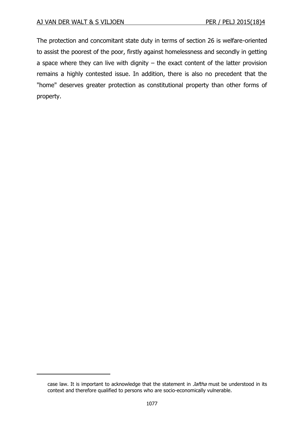The protection and concomitant state duty in terms of section 26 is welfare-oriented to assist the poorest of the poor, firstly against homelessness and secondly in getting a space where they can live with dignity – the exact content of the latter provision remains a highly contested issue. In addition, there is also no precedent that the "home" deserves greater protection as constitutional property than other forms of property.

case law. It is important to acknowledge that the statement in *Jaftha* must be understood in its context and therefore qualified to persons who are socio-economically vulnerable.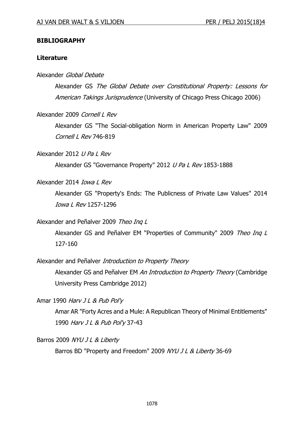#### **BIBLIOGRAPHY**

#### **Literature**

#### Alexander Global Debate

Alexander GS The Global Debate over Constitutional Property: Lessons for American Takings Jurisprudence (University of Chicago Press Chicago 2006)

Alexander 2009 Cornell L Rev

Alexander GS "The Social-obligation Norm in American Property Law" 2009 Cornell L Rev 746-819

Alexander 2012 U Pa L Rev

Alexander GS "Governance Property" 2012 U Pa L Rev 1853-1888

#### Alexander 2014 Iowa L Rev

Alexander GS "Property's Ends: The Publicness of Private Law Values" 2014 Iowa L Rev 1257-1296

#### Alexander and Peñalver 2009 Theo Ing L

Alexander GS and Peñalver EM "Properties of Community" 2009 Theo Ing L 127-160

### Alexander and Peñalver *Introduction to Property Theory*

Alexander GS and Peñalver EM An Introduction to Property Theory (Cambridge University Press Cambridge 2012)

Amar 1990 Harv J L & Pub Pol'y

Amar AR "Forty Acres and a Mule: A Republican Theory of Minimal Entitlements" 1990 Harv J L & Pub Pol'y 37-43

#### Barros 2009 NYU J L & Liberty

Barros BD "Property and Freedom" 2009 NYU J L & Liberty 36-69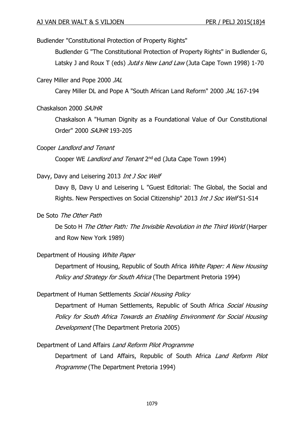## Budlender "Constitutional Protection of Property Rights"

Budlender G "The Constitutional Protection of Property Rights" in Budlender G, Latsky J and Roux T (eds) Juta's New Land Law (Juta Cape Town 1998) 1-70

#### Carey Miller and Pope 2000 JAL

Carey Miller DL and Pope A "South African Land Reform" 2000 JAL 167-194

#### Chaskalson 2000 SAJHR

Chaskalson A "Human Dignity as a Foundational Value of Our Constitutional Order" 2000 SAJHR 193-205

#### Cooper Landlord and Tenant

Cooper WE Landlord and Tenant 2<sup>nd</sup> ed (Juta Cape Town 1994)

#### Davy, Davy and Leisering 2013 Int J Soc Welf

Davy B, Davy U and Leisering L "Guest Editorial: The Global, the Social and Rights. New Perspectives on Social Citizenship" 2013 *Int J Soc Welf* S1-S14

#### De Soto The Other Path

De Soto H The Other Path: The Invisible Revolution in the Third World (Harper and Row New York 1989)

### Department of Housing White Paper

Department of Housing, Republic of South Africa White Paper: A New Housing Policy and Strategy for South Africa (The Department Pretoria 1994)

#### Department of Human Settlements Social Housing Policy

Department of Human Settlements, Republic of South Africa Social Housing Policy for South Africa Towards an Enabling Environment for Social Housing Development (The Department Pretoria 2005)

#### Department of Land Affairs Land Reform Pilot Programme

Department of Land Affairs, Republic of South Africa Land Reform Pilot Programme (The Department Pretoria 1994)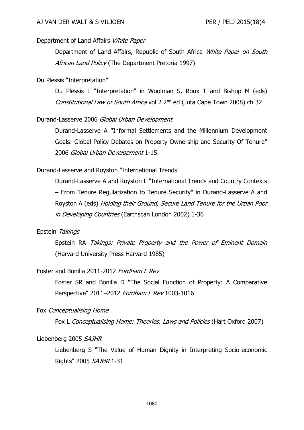#### Department of Land Affairs White Paper

Department of Land Affairs, Republic of South Africa White Paper on South African Land Policy (The Department Pretoria 1997)

#### Du Plessis "Interpretation"

Du Plessis L "Interpretation" in Woolman S, Roux T and Bishop M (eds) Constitutional Law of South Africa vol 2 2<sup>nd</sup> ed (Juta Cape Town 2008) ch 32

### Durand-Lasserve 2006 Global Urban Development

Durand-Lasserve A "Informal Settlements and the Millennium Development Goals: Global Policy Debates on Property Ownership and Security Of Tenure" 2006 Global Urban Development 1-15

#### Durand-Lasserve and Royston "International Trends"

Durand-Lasserve A and Royston L "International Trends and Country Contexts – From Tenure Regularization to Tenure Security" in Durand-Lasserve A and Royston A (eds) Holding their Ground, Secure Land Tenure for the Urban Poor in Developing Countries (Earthscan London 2002) 1-36

#### Epstein Takings

Epstein RA Takings: Private Property and the Power of Eminent Domain (Harvard University Press Harvard 1985)

#### Foster and Bonilla 2011-2012 Fordham L Rev

Foster SR and Bonilla D "The Social Function of Property: A Comparative Perspective" 2011–2012 Fordham L Rev 1003-1016

#### Fox Conceptualising Home

Fox L Conceptualising Home: Theories, Laws and Policies (Hart Oxford 2007)

#### Liebenberg 2005 SAJHR

Liebenberg S "The Value of Human Dignity in Interpreting Socio-economic Rights" 2005 SAJHR 1-31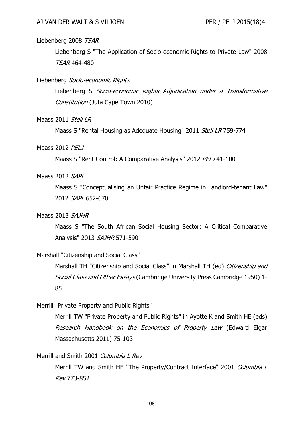### Liebenberg 2008 TSAR

Liebenberg S "The Application of Socio-economic Rights to Private Law" 2008 TSAR 464-480

### Liebenberg Socio-economic Rights

Liebenberg S Socio-economic Rights Adjudication under a Transformative Constitution (Juta Cape Town 2010)

### Maass 2011 Stell LR

Maass S "Rental Housing as Adequate Housing" 2011 Stell LR 759-774

#### Maass 2012 PELJ

Maass S "Rent Control: A Comparative Analysis" 2012 PELJ 41-100

#### Maass 2012 SAPL

Maass S "Conceptualising an Unfair Practice Regime in Landlord-tenant Law" 2012 SAPL 652-670

#### Maass 2013 SAJHR

Maass S "The South African Social Housing Sector: A Critical Comparative Analysis" 2013 SAJHR 571-590

### Marshall "Citizenship and Social Class"

Marshall TH "Citizenship and Social Class" in Marshall TH (ed) Citizenship and Social Class and Other Essays (Cambridge University Press Cambridge 1950) 1- 85

### Merrill "Private Property and Public Rights"

Merrill TW "Private Property and Public Rights" in Ayotte K and Smith HE (eds) Research Handbook on the Economics of Property Law (Edward Elgar Massachusetts 2011) 75-103

## Merrill and Smith 2001 Columbia L Rev

Merrill TW and Smith HE "The Property/Contract Interface" 2001 Columbia L Rev 773-852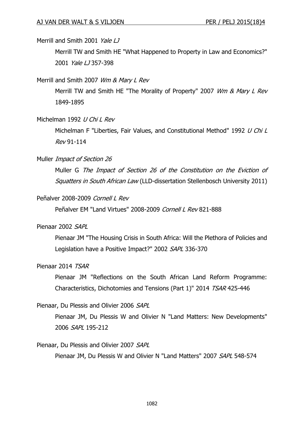#### Merrill and Smith 2001 Yale LJ

Merrill TW and Smith HE "What Happened to Property in Law and Economics?" 2001 *Yale LJ* 357-398

#### Merrill and Smith 2007 Wm & Mary L Rev

Merrill TW and Smith HE "The Morality of Property" 2007 Wm & Mary L Rev 1849-1895

### Michelman 1992 U Chi L Rev

Michelman F "Liberties, Fair Values, and Constitutional Method" 1992 U Chi L Rev 91-114

#### Muller Impact of Section 26

Muller G The Impact of Section 26 of the Constitution on the Eviction of Squatters in South African Law (LLD-dissertation Stellenbosch University 2011)

#### Peñalver 2008-2009 Cornell L Rev

Peñalver EM "Land Virtues" 2008-2009 Cornell L Rev 821-888

#### Pienaar 2002 SAPL

Pienaar JM "The Housing Crisis in South Africa: Will the Plethora of Policies and Legislation have a Positive Impact?" 2002 SAPL 336-370

#### Pienaar 2014 TSAR

Pienaar JM "Reflections on the South African Land Reform Programme: Characteristics, Dichotomies and Tensions (Part 1)" 2014 TSAR 425-446

### Pienaar, Du Plessis and Olivier 2006 SAPL

Pienaar JM, Du Plessis W and Olivier N "Land Matters: New Developments" 2006 SAPL 195-212

#### Pienaar, Du Plessis and Olivier 2007 SAPL

Pienaar JM, Du Plessis W and Olivier N "Land Matters" 2007 SAPL 548-574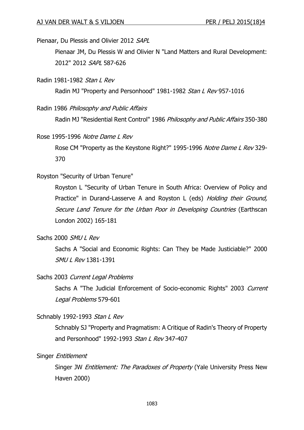Pienaar, Du Plessis and Olivier 2012 SAPL

Pienaar JM, Du Plessis W and Olivier N "Land Matters and Rural Development: 2012" 2012 SAPL 587-626

#### Radin 1981-1982 Stan L Rev

Radin MJ "Property and Personhood" 1981-1982 Stan L Rev 957-1016

#### Radin 1986 Philosophy and Public Affairs

Radin MJ "Residential Rent Control" 1986 Philosophy and Public Affairs 350-380

#### Rose 1995-1996 Notre Dame L Rev

Rose CM "Property as the Keystone Right?" 1995-1996 Notre Dame L Rev 329- 370

#### Royston "Security of Urban Tenure"

Royston L "Security of Urban Tenure in South Africa: Overview of Policy and Practice" in Durand-Lasserve A and Royston L (eds) Holding their Ground, Secure Land Tenure for the Urban Poor in Developing Countries (Earthscan London 2002) 165-181

### Sachs 2000 SMU L Rev

Sachs A "Social and Economic Rights: Can They be Made Justiciable?" 2000 SMU L Rev 1381-1391

#### Sachs 2003 Current Legal Problems

Sachs A "The Judicial Enforcement of Socio-economic Rights" 2003 Current Legal Problems 579-601

#### Schnably 1992-1993 Stan L Rev

Schnably SJ "Property and Pragmatism: A Critique of Radin's Theory of Property and Personhood" 1992-1993 Stan L Rev 347-407

#### Singer Entitlement

Singer JW Entitlement: The Paradoxes of Property (Yale University Press New Haven 2000)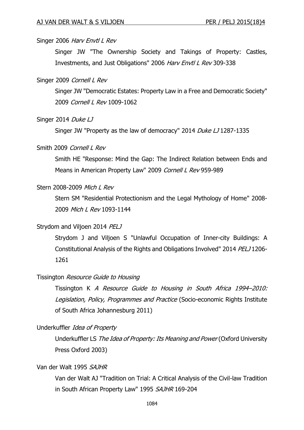#### Singer 2006 Harv Envtl L Rev

Singer JW "The Ownership Society and Takings of Property: Castles, Investments, and Just Obligations" 2006 Harv Envtl L Rev 309-338

#### Singer 2009 Cornell L Rev

Singer JW "Democratic Estates: Property Law in a Free and Democratic Society" 2009 Cornell L Rev 1009-1062

#### Singer 2014 Duke LJ

Singer JW "Property as the law of democracy" 2014 Duke LJ 1287-1335

#### Smith 2009 Cornell L Rev

Smith HE "Response: Mind the Gap: The Indirect Relation between Ends and Means in American Property Law" 2009 Cornell L Rev 959-989

#### Stern 2008-2009 Mich L Rev

Stern SM "Residential Protectionism and the Legal Mythology of Home" 2008- 2009 Mich L Rev 1093-1144

### Strydom and Viljoen 2014 PELJ

Strydom J and Viljoen S "Unlawful Occupation of Inner-city Buildings: A Constitutional Analysis of the Rights and Obligations Involved" 2014 PELJ 1206- 1261

#### Tissington Resource Guide to Housing

Tissington K A Resource Guide to Housing in South Africa 1994–2010: Legislation, Policy, Programmes and Practice (Socio-economic Rights Institute of South Africa Johannesburg 2011)

### Underkuffler Idea of Property

Underkuffler LS The Idea of Property: Its Meaning and Power (Oxford University Press Oxford 2003)

#### Van der Walt 1995 SAJHR

Van der Walt AJ "Tradition on Trial: A Critical Analysis of the Civil-law Tradition in South African Property Law" 1995 SAJHR 169-204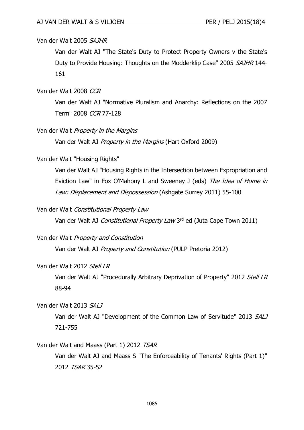#### Van der Walt 2005 SAJHR

Van der Walt AJ "The State's Duty to Protect Property Owners v the State's Duty to Provide Housing: Thoughts on the Modderklip Case" 2005 SAJHR 144-161

#### Van der Walt 2008 CCR

Van der Walt AJ "Normative Pluralism and Anarchy: Reflections on the 2007 Term" 2008 CCR 77-128

#### Van der Walt Property in the Margins

Van der Walt AJ Property in the Margins (Hart Oxford 2009)

#### Van der Walt "Housing Rights"

Van der Walt AJ "Housing Rights in the Intersection between Expropriation and Eviction Law" in Fox O'Mahony L and Sweeney J (eds) The Idea of Home in Law: Displacement and Dispossession (Ashgate Surrey 2011) 55-100

#### Van der Walt Constitutional Property Law

Van der Walt AJ *Constitutional Property Law* 3<sup>rd</sup> ed (Juta Cape Town 2011)

Van der Walt Property and Constitution

Van der Walt AJ Property and Constitution (PULP Pretoria 2012)

#### Van der Walt 2012 Stell LR

Van der Walt AJ "Procedurally Arbitrary Deprivation of Property" 2012 Stell LR 88-94

#### Van der Walt 2013 SALJ

Van der Walt AJ "Development of the Common Law of Servitude" 2013 SALJ 721-755

#### Van der Walt and Maass (Part 1) 2012 TSAR

Van der Walt AJ and Maass S "The Enforceability of Tenants' Rights (Part 1)" 2012 TSAR 35-52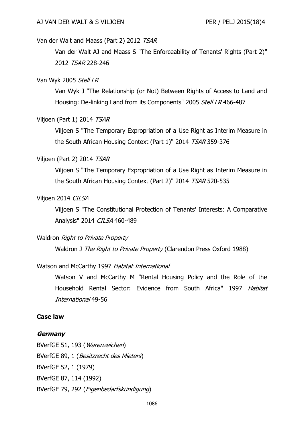#### Van der Walt and Maass (Part 2) 2012 TSAR

Van der Walt AJ and Maass S "The Enforceability of Tenants' Rights (Part 2)" 2012 TSAR 228-246

#### Van Wyk 2005 Stell LR

Van Wyk J "The Relationship (or Not) Between Rights of Access to Land and Housing: De-linking Land from its Components" 2005 Stell LR 466-487

#### Viljoen (Part 1) 2014 TSAR

Viljoen S "The Temporary Expropriation of a Use Right as Interim Measure in the South African Housing Context (Part 1)" 2014 TSAR 359-376

#### Viljoen (Part 2) 2014 TSAR

Viljoen S "The Temporary Expropriation of a Use Right as Interim Measure in the South African Housing Context (Part 2)" 2014 TSAR 520-535

#### Viljoen 2014 CILSA

Viljoen S "The Constitutional Protection of Tenants' Interests: A Comparative Analysis" 2014 CILSA 460-489

#### Waldron Right to Private Property

Waldron J The Right to Private Property (Clarendon Press Oxford 1988)

#### Watson and McCarthy 1997 Habitat International

Watson V and McCarthy M "Rental Housing Policy and the Role of the Household Rental Sector: Evidence from South Africa" 1997 Habitat International 49-56

#### **Case law**

#### **Germany**

BVerfGE 51, 193 (Warenzeichen) BVerfGE 89, 1 (Besitzrecht des Mieters) BVerfGE 52, 1 (1979) BVerfGE 87, 114 (1992) BVerfGE 79, 292 (Eigenbedarfskündigung)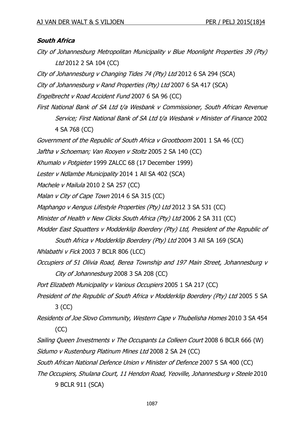### **South Africa**

City of Johannesburg Metropolitan Municipality v Blue Moonlight Properties 39 (Pty) Ltd 2012 2 SA 104 (CC) City of Johannesburg v Changing Tides 74 (Pty) Ltd 2012 6 SA 294 (SCA) City of Johannesburg v Rand Properties (Pty) Ltd 2007 6 SA 417 (SCA) Engelbrecht v Road Accident Fund 2007 6 SA 96 (CC) First National Bank of SA Ltd t/a Wesbank v Commissioner, South African Revenue Service; First National Bank of SA Ltd t/a Wesbank v Minister of Finance 2002 4 SA 768 (CC) Government of the Republic of South Africa v Grootboom 2001 1 SA 46 (CC) Jaftha v Schoeman; Van Rooyen v Stoltz 2005 2 SA 140 (CC) Khumalo v Potgieter 1999 ZALCC 68 (17 December 1999) Lester v Ndlambe Municipality 2014 1 All SA 402 (SCA) Machele v Mailula 2010 2 SA 257 (CC) Malan v City of Cape Town 2014 6 SA 315 (CC) Maphango v Aengus Lifestyle Properties (Pty) Ltd 2012 3 SA 531 (CC) Minister of Health v New Clicks South Africa (Pty) Ltd 2006 2 SA 311 (CC) Modder East Squatters v Modderklip Boerdery (Pty) Ltd, President of the Republic of South Africa v Modderklip Boerdery (Pty) Ltd 2004 3 All SA 169 (SCA) Nhlabathi v Fick 2003 7 BCLR 806 (LCC) Occupiers of 51 Olivia Road, Berea Township and 197 Main Street, Johannesburg v City of Johannesburg 2008 3 SA 208 (CC) Port Elizabeth Municipality v Various Occupiers 2005 1 SA 217 (CC) President of the Republic of South Africa v Modderklip Boerdery (Pty) Ltd 2005 5 SA 3 (CC) Residents of Joe Slovo Community, Western Cape v Thubelisha Homes 2010 3 SA 454 (CC) Sailing Queen Investments v The Occupants La Colleen Court 2008 6 BCLR 666 (W) Sidumo v Rustenburg Platinum Mines Ltd 2008 2 SA 24 (CC) South African National Defence Union v Minister of Defence 2007 5 SA 400 (CC) The Occupiers, Shulana Court, 11 Hendon Road, Yeoville, Johannesburg v Steele 2010 9 BCLR 911 (SCA)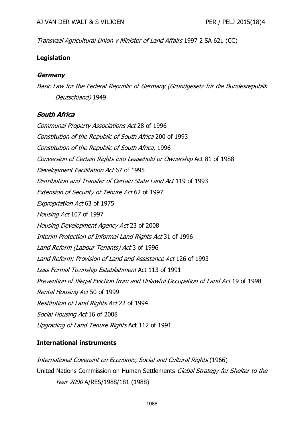Transvaal Agricultural Union v Minister of Land Affairs 1997 2 SA 621 (CC)

## **Legislation**

### **Germany**

Basic Law for the Federal Republic of Germany (Grundgesetz für die Bundesrepublik Deutschland) 1949

### **South Africa**

Communal Property Associations Act 28 of 1996 Constitution of the Republic of South Africa 200 of 1993 Constitution of the Republic of South Africa, 1996 Conversion of Certain Rights into Leasehold or Ownership Act 81 of 1988 Development Facilitation Act 67 of 1995 Distribution and Transfer of Certain State Land Act 119 of 1993 Extension of Security of Tenure Act 62 of 1997 Expropriation Act 63 of 1975 Housing Act 107 of 1997 Housing Development Agency Act 23 of 2008 Interim Protection of Informal Land Rights Act 31 of 1996 Land Reform (Labour Tenants) Act 3 of 1996 Land Reform: Provision of Land and Assistance Act 126 of 1993 Less Formal Township Establishment Act 113 of 1991 Prevention of Illegal Eviction from and Unlawful Occupation of Land Act 19 of 1998 Rental Housing Act 50 of 1999 Restitution of Land Rights Act 22 of 1994 Social Housing Act 16 of 2008 Upgrading of Land Tenure Rights Act 112 of 1991

## **International instruments**

International Covenant on Economic, Social and Cultural Rights (1966) United Nations Commission on Human Settlements Global Strategy for Shelter to the Year 2000 A/RES/1988/181 (1988)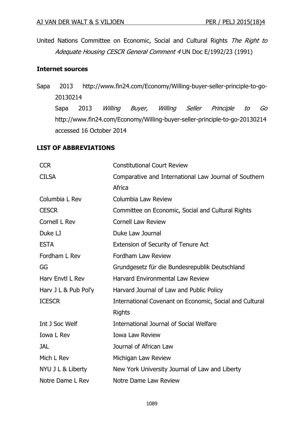United Nations Committee on Economic, Social and Cultural Rights The Right to Adequate Housing CESCR General Comment 4 UN Doc E/1992/23 (1991)

#### **Internet sources**

Sapa 2013 http://www.fin24.com/Economy/Willing-buyer-seller-principle-to-go-20130214 Sapa 2013 Willing Buyer, Willing Seller Principle to Go http://www.fin24.com/Economy/Willing-buyer-seller-principle-to-go-20130214 accessed 16 October 2014

#### **LIST OF ABBREVIATIONS**

| <b>CCR</b>           | <b>Constitutional Court Review</b>                      |
|----------------------|---------------------------------------------------------|
| <b>CILSA</b>         | Comparative and International Law Journal of Southern   |
|                      | Africa                                                  |
| Columbia L Rev       | Columbia Law Review                                     |
| <b>CESCR</b>         | Committee on Economic, Social and Cultural Rights       |
| Cornell L Rev        | <b>Cornell Law Review</b>                               |
| Duke LJ              | Duke Law Journal                                        |
| <b>ESTA</b>          | Extension of Security of Tenure Act                     |
| Fordham L Rev        | Fordham Law Review                                      |
| GG                   | Grundgesetz für die Bundesrepublik Deutschland          |
| Hary Envtl L Rev     | <b>Harvard Environmental Law Review</b>                 |
| Harv J L & Pub Pol'y | Harvard Journal of Law and Public Policy                |
| <b>ICESCR</b>        | International Covenant on Economic, Social and Cultural |
|                      | <b>Rights</b>                                           |
| Int J Soc Welf       | <b>International Journal of Social Welfare</b>          |
| <b>Iowa L Rev</b>    | <b>Iowa Law Review</b>                                  |
| <b>JAL</b>           | Journal of African Law                                  |
| Mich L Rev           | Michigan Law Review                                     |
| NYU J L & Liberty    | New York University Journal of Law and Liberty          |
| Notre Dame L Rev     | Notre Dame Law Review                                   |